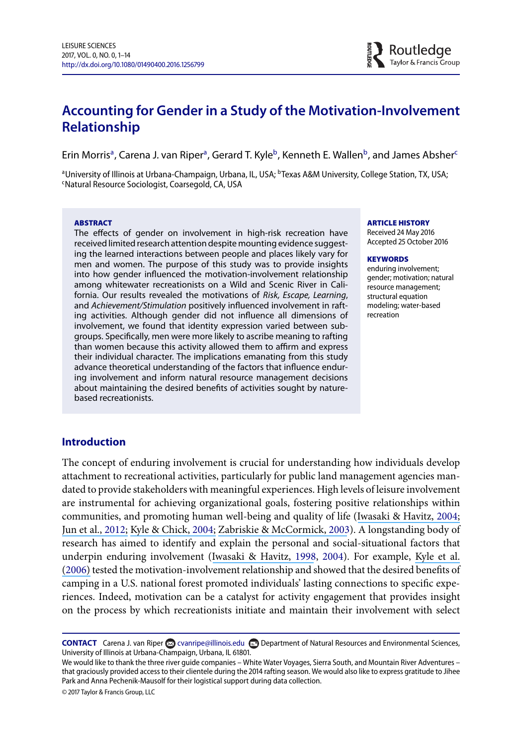# **Accounting for Gender in a Study of the Motivation-Involvement Relationship**

Erin Morris<sup>a</sup>, Carena J. van Riper<sup>a</sup>, Gerard T. Kyle<sup>b</sup>, Kenneth E. Wallen<sup>b</sup>, and James Absher<sup>c</sup>

<sup>a</sup>University of Illinois at Urbana-Champaign, Urbana, IL, USA; <sup>b</sup>Texas A&M University, College Station, TX, USA; <sup>c</sup>Natural Resource Sociologist, Coarsegold, CA, USA

#### **ABSTRACT**

The effects of gender on involvement in high-risk recreation have received limited research attention despite mounting evidence suggesting the learned interactions between people and places likely vary for men and women. The purpose of this study was to provide insights into how gender influenced the motivation-involvement relationship among whitewater recreationists on a Wild and Scenic River in California. Our results revealed the motivations of *Risk, Escape, Learning*, and *Achievement/Stimulation* positively influenced involvement in rafting activities. Although gender did not influence all dimensions of involvement, we found that identity expression varied between subgroups. Specifically, men were more likely to ascribe meaning to rafting than women because this activity allowed them to affirm and express their individual character. The implications emanating from this study advance theoretical understanding of the factors that influence enduring involvement and inform natural resource management decisions about maintaining the desired benefits of activities sought by naturebased recreationists.

#### **ARTICLE HISTORY**

Received 24 May 2016 Accepted 25 October 2016

#### **KEYWORDS**

enduring involvement; gender; motivation; natural resource management; structural equation modeling; water-based recreation

# **Introduction**

The concept of enduring involvement is crucial for understanding how individuals develop attachment to recreational activities, particularly for public land management agencies mandated to provide stakeholders with meaningful experiences. High levels of leisure involvement are instrumental for achieving organizational goals, fostering positive relationships within communities, and promoting human well-being and quality of life ([Iwasaki & Havitz,](https://www.researchgate.net/publication/279579474_Examining_relationships_between_leisure_involvement_psychological_commitment_and_loyalty_to_a_recreation_agency?el=1_x_8&enrichId=rgreq-358bf75993b0b78d15cbfae87c388d01-XXX&enrichSource=Y292ZXJQYWdlOzMxMzIzNDU4MTtBUzo0NTc4MDQ5MDIzNDI2NTZAMTQ4NjE2MDYwMjIxOQ==) 2004; [Jun et al.,](https://www.researchgate.net/publication/233209682_Reassessing_the_Structure_of_Enduring_Leisure_Involvement?el=1_x_8&enrichId=rgreq-358bf75993b0b78d15cbfae87c388d01-XXX&enrichSource=Y292ZXJQYWdlOzMxMzIzNDU4MTtBUzo0NTc4MDQ5MDIzNDI2NTZAMTQ4NjE2MDYwMjIxOQ==) 2012; [Kyle & Chick,](https://www.researchgate.net/publication/228999991_Enduring_leisure_involvement_The_importance_of_personal_relationships?el=1_x_8&enrichId=rgreq-358bf75993b0b78d15cbfae87c388d01-XXX&enrichSource=Y292ZXJQYWdlOzMxMzIzNDU4MTtBUzo0NTc4MDQ5MDIzNDI2NTZAMTQ4NjE2MDYwMjIxOQ==) 2004; [Zabriskie & McCormick,](https://www.researchgate.net/publication/257721601_Parent_and_child_perspectives_of_family_leisure_involvement_and_satisfaction_with_family_life?el=1_x_8&enrichId=rgreq-358bf75993b0b78d15cbfae87c388d01-XXX&enrichSource=Y292ZXJQYWdlOzMxMzIzNDU4MTtBUzo0NTc4MDQ5MDIzNDI2NTZAMTQ4NjE2MDYwMjIxOQ==) 2003). A longstanding body of research has aimed to identify and explain the personal and social-situational factors that underpin enduring involvement ([Iwasaki & Havitz,](https://www.researchgate.net/publication/261180172_A_path_analytic_model_of_the_relationships_between_involvement_psychological_commitment_and_loyalty?el=1_x_8&enrichId=rgreq-358bf75993b0b78d15cbfae87c388d01-XXX&enrichSource=Y292ZXJQYWdlOzMxMzIzNDU4MTtBUzo0NTc4MDQ5MDIzNDI2NTZAMTQ4NjE2MDYwMjIxOQ==) 1998, 2004). For example, [Kyle et al.](https://www.researchgate.net/publication/228759430_An_Examination_of_the_Motivation-Involvement_Relationship?el=1_x_8&enrichId=rgreq-358bf75993b0b78d15cbfae87c388d01-XXX&enrichSource=Y292ZXJQYWdlOzMxMzIzNDU4MTtBUzo0NTc4MDQ5MDIzNDI2NTZAMTQ4NjE2MDYwMjIxOQ==) [\(2006\)](https://www.researchgate.net/publication/228759430_An_Examination_of_the_Motivation-Involvement_Relationship?el=1_x_8&enrichId=rgreq-358bf75993b0b78d15cbfae87c388d01-XXX&enrichSource=Y292ZXJQYWdlOzMxMzIzNDU4MTtBUzo0NTc4MDQ5MDIzNDI2NTZAMTQ4NjE2MDYwMjIxOQ==) tested the motivation-involvement relationship and showed that the desired benefits of camping in a U.S. national forest promoted individuals' lasting connections to specific experiences. Indeed, motivation can be a catalyst for activity engagement that provides insight on the process by which recreationists initiate and maintain their involvement with select

We would like to thank the three river guide companies – White Water Voyages, Sierra South, and Mountain River Adventures – that graciously provided access to their clientele during the 2014 rafting season. We would also like to express gratitude to Jihee Park and Anna Pechenik-Mausolf for their logistical support during data collection.

© 2017 Taylor & Francis Group, LLC

**CONTACT** Carena J. van Riper  $\Omega$  cvanripe@illinois.edu **D** Department of Natural Resources and Environmental Sciences, University of Illinois at Urbana-Champaign, Urbana, IL 61801.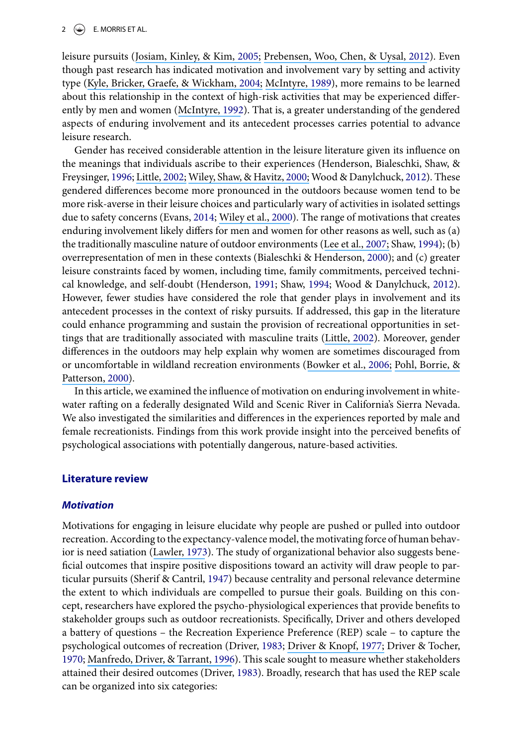leisure pursuits ([Josiam, Kinley, & Kim,](https://www.researchgate.net/publication/274081295_Involvement_and_the_tourist_shopper_Using_the_involvement_construct_to_segment_the_American_tourist_shopper_at_the_mall?el=1_x_8&enrichId=rgreq-358bf75993b0b78d15cbfae87c388d01-XXX&enrichSource=Y292ZXJQYWdlOzMxMzIzNDU4MTtBUzo0NTc4MDQ5MDIzNDI2NTZAMTQ4NjE2MDYwMjIxOQ==) 2005; [Prebensen, Woo, Chen, & Uysal,](https://www.researchgate.net/publication/258161154_Motivation_and_Involvement_as_Antecedents_of_the_Perceived_Value_of_the_Destination_Experience?el=1_x_8&enrichId=rgreq-358bf75993b0b78d15cbfae87c388d01-XXX&enrichSource=Y292ZXJQYWdlOzMxMzIzNDU4MTtBUzo0NTc4MDQ5MDIzNDI2NTZAMTQ4NjE2MDYwMjIxOQ==) 2012). Even though past research has indicated motivation and involvement vary by setting and activity type ([Kyle, Bricker, Graefe, & Wickham,](https://www.researchgate.net/publication/228744655_An_Examination_of_Recreationists) 2004; [McIntyre,](https://www.researchgate.net/publication/234683797_The_Personal_Meaning_of_Participation_Enduring_Involvement?el=1_x_8&enrichId=rgreq-358bf75993b0b78d15cbfae87c388d01-XXX&enrichSource=Y292ZXJQYWdlOzMxMzIzNDU4MTtBUzo0NTc4MDQ5MDIzNDI2NTZAMTQ4NjE2MDYwMjIxOQ==) 1989), more remains to be learned about this relationship in the context of high-risk activities that may be experienced differently by men and women ([McIntyre,](https://www.researchgate.net/publication/232443339_Involvement_in_risk_recreation_A_comparison_of_objective_and_subjective_measures_of_engagement?el=1_x_8&enrichId=rgreq-358bf75993b0b78d15cbfae87c388d01-XXX&enrichSource=Y292ZXJQYWdlOzMxMzIzNDU4MTtBUzo0NTc4MDQ5MDIzNDI2NTZAMTQ4NjE2MDYwMjIxOQ==) 1992). That is, a greater understanding of the gendered aspects of enduring involvement and its antecedent processes carries potential to advance leisure research.

Gender has received considerable attention in the leisure literature given its influence on the meanings that individuals ascribe to their experiences (Henderson, Bialeschki, Shaw, & Freysinger, 1996; [Little,](https://www.researchgate.net/publication/289229923_Women_and_adventure_recreation_Reconstructing_leisure_constraints_and_adventure_experiences_to_negotiate_continuing_participation?el=1_x_8&enrichId=rgreq-358bf75993b0b78d15cbfae87c388d01-XXX&enrichSource=Y292ZXJQYWdlOzMxMzIzNDU4MTtBUzo0NTc4MDQ5MDIzNDI2NTZAMTQ4NjE2MDYwMjIxOQ==) 2002; [Wiley, Shaw, & Havitz,](https://www.researchgate.net/publication/262873204_Men) 2000; Wood & Danylchuck, 2012). These gendered differences become more pronounced in the outdoors because women tend to be more risk-averse in their leisure choices and particularly wary of activities in isolated settings due to safety concerns (Evans, 2014; [Wiley et al.,](https://www.researchgate.net/publication/262873204_Men) 2000). The range of motivations that creates enduring involvement likely differs for men and women for other reasons as well, such as (a) the traditionally masculine nature of outdoor environments ([Lee et al.,](https://www.researchgate.net/publication/238398646_The_Effects_of_Specialization_and_Gender_on_Motivations_and_Preferences_for_Site_Attributes_in_Paddling?el=1_x_8&enrichId=rgreq-358bf75993b0b78d15cbfae87c388d01-XXX&enrichSource=Y292ZXJQYWdlOzMxMzIzNDU4MTtBUzo0NTc4MDQ5MDIzNDI2NTZAMTQ4NjE2MDYwMjIxOQ==) 2007; Shaw, 1994); (b) overrepresentation of men in these contexts (Bialeschki & Henderson, 2000); and (c) greater leisure constraints faced by women, including time, family commitments, perceived technical knowledge, and self-doubt (Henderson, 1991; Shaw, 1994; Wood & Danylchuck, 2012). However, fewer studies have considered the role that gender plays in involvement and its antecedent processes in the context of risky pursuits. If addressed, this gap in the literature could enhance programming and sustain the provision of recreational opportunities in settings that are traditionally associated with masculine traits ([Little,](https://www.researchgate.net/publication/289229923_Women_and_adventure_recreation_Reconstructing_leisure_constraints_and_adventure_experiences_to_negotiate_continuing_participation?el=1_x_8&enrichId=rgreq-358bf75993b0b78d15cbfae87c388d01-XXX&enrichSource=Y292ZXJQYWdlOzMxMzIzNDU4MTtBUzo0NTc4MDQ5MDIzNDI2NTZAMTQ4NjE2MDYwMjIxOQ==) 2002). Moreover, gender differences in the outdoors may help explain why women are sometimes discouraged from or uncomfortable in wildland recreation environments ([Bowker et al.,](https://www.researchgate.net/publication/23944863_Wilderness_and_Primitive_Area_Recreation_Participation_and_Consumption_An_Examination_of_Demographic_and_Spatial_Factors?el=1_x_8&enrichId=rgreq-358bf75993b0b78d15cbfae87c388d01-XXX&enrichSource=Y292ZXJQYWdlOzMxMzIzNDU4MTtBUzo0NTc4MDQ5MDIzNDI2NTZAMTQ4NjE2MDYwMjIxOQ==) 2006; [Pohl, Borrie, &](https://www.researchgate.net/publication/299484655_Women_Wilderness_and_Everyday_Life_A_Documentation_of_the_Connection_between_Wilderness_Recreation_and_Women) [Patterson,](https://www.researchgate.net/publication/299484655_Women_Wilderness_and_Everyday_Life_A_Documentation_of_the_Connection_between_Wilderness_Recreation_and_Women) 2000).

In this article, we examined the influence of motivation on enduring involvement in whitewater rafting on a federally designated Wild and Scenic River in California's Sierra Nevada. We also investigated the similarities and differences in the experiences reported by male and female recreationists. Findings from this work provide insight into the perceived benefits of psychological associations with potentially dangerous, nature-based activities.

#### **Literature review**

## *Motivation*

Motivations for engaging in leisure elucidate why people are pushed or pulled into outdoor recreation. According to the expectancy-valence model, the motivating force of human behav-ior is need satiation ([Lawler,](https://www.researchgate.net/publication/274219620_Motivation_in_Work_Organizations?el=1_x_8&enrichId=rgreq-358bf75993b0b78d15cbfae87c388d01-XXX&enrichSource=Y292ZXJQYWdlOzMxMzIzNDU4MTtBUzo0NTc4MDQ5MDIzNDI2NTZAMTQ4NjE2MDYwMjIxOQ==) 1973). The study of organizational behavior also suggests beneficial outcomes that inspire positive dispositions toward an activity will draw people to particular pursuits (Sherif & Cantril, 1947) because centrality and personal relevance determine the extent to which individuals are compelled to pursue their goals. Building on this concept, researchers have explored the psycho-physiological experiences that provide benefits to stakeholder groups such as outdoor recreationists. Specifically, Driver and others developed a battery of questions – the Recreation Experience Preference (REP) scale – to capture the psychological outcomes of recreation (Driver, 1983; [Driver & Knopf,](https://www.researchgate.net/publication/240689590_Personality_Outdoor_Recreation_and_Expected_Consequences?el=1_x_8&enrichId=rgreq-358bf75993b0b78d15cbfae87c388d01-XXX&enrichSource=Y292ZXJQYWdlOzMxMzIzNDU4MTtBUzo0NTc4MDQ5MDIzNDI2NTZAMTQ4NjE2MDYwMjIxOQ==) 1977; Driver & Tocher, 1970; [Manfredo, Driver, & Tarrant,](https://www.researchgate.net/publication/250614022_Measuring_leisure_motivation_A_meta-analysis_of_the_Recreation_Experience_Preference_scales?el=1_x_8&enrichId=rgreq-358bf75993b0b78d15cbfae87c388d01-XXX&enrichSource=Y292ZXJQYWdlOzMxMzIzNDU4MTtBUzo0NTc4MDQ5MDIzNDI2NTZAMTQ4NjE2MDYwMjIxOQ==) 1996). This scale sought to measure whether stakeholders attained their desired outcomes (Driver, 1983). Broadly, research that has used the REP scale can be organized into six categories: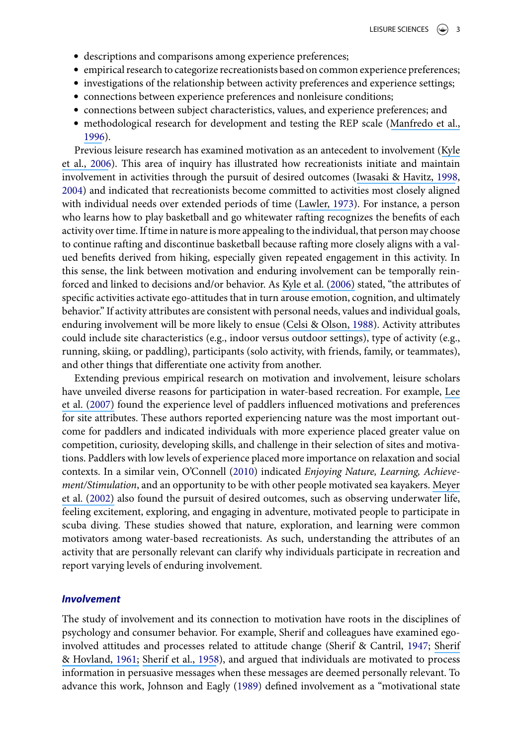- descriptions and comparisons among experience preferences;
- empirical research to categorize recreationists based on common experience preferences;
- investigations of the relationship between activity preferences and experience settings;
- connections between experience preferences and nonleisure conditions;
- connections between subject characteristics, values, and experience preferences; and
- methodological research for development and testing the REP scale ([Manfredo et al.,](https://www.researchgate.net/publication/250614022_Measuring_leisure_motivation_A_meta-analysis_of_the_Recreation_Experience_Preference_scales?el=1_x_8&enrichId=rgreq-358bf75993b0b78d15cbfae87c388d01-XXX&enrichSource=Y292ZXJQYWdlOzMxMzIzNDU4MTtBUzo0NTc4MDQ5MDIzNDI2NTZAMTQ4NjE2MDYwMjIxOQ==) [1996](https://www.researchgate.net/publication/250614022_Measuring_leisure_motivation_A_meta-analysis_of_the_Recreation_Experience_Preference_scales?el=1_x_8&enrichId=rgreq-358bf75993b0b78d15cbfae87c388d01-XXX&enrichSource=Y292ZXJQYWdlOzMxMzIzNDU4MTtBUzo0NTc4MDQ5MDIzNDI2NTZAMTQ4NjE2MDYwMjIxOQ==)).

Previous leisure research has examined motivation as an antecedent to involvement ([Kyle](https://www.researchgate.net/publication/228759430_An_Examination_of_the_Motivation-Involvement_Relationship?el=1_x_8&enrichId=rgreq-358bf75993b0b78d15cbfae87c388d01-XXX&enrichSource=Y292ZXJQYWdlOzMxMzIzNDU4MTtBUzo0NTc4MDQ5MDIzNDI2NTZAMTQ4NjE2MDYwMjIxOQ==) [et al.,](https://www.researchgate.net/publication/228759430_An_Examination_of_the_Motivation-Involvement_Relationship?el=1_x_8&enrichId=rgreq-358bf75993b0b78d15cbfae87c388d01-XXX&enrichSource=Y292ZXJQYWdlOzMxMzIzNDU4MTtBUzo0NTc4MDQ5MDIzNDI2NTZAMTQ4NjE2MDYwMjIxOQ==) 2006). This area of inquiry has illustrated how recreationists initiate and maintain involvement in activities through the pursuit of desired outcomes ([Iwasaki & Havitz,](https://www.researchgate.net/publication/261180172_A_path_analytic_model_of_the_relationships_between_involvement_psychological_commitment_and_loyalty?el=1_x_8&enrichId=rgreq-358bf75993b0b78d15cbfae87c388d01-XXX&enrichSource=Y292ZXJQYWdlOzMxMzIzNDU4MTtBUzo0NTc4MDQ5MDIzNDI2NTZAMTQ4NjE2MDYwMjIxOQ==) 1998, 2004) and indicated that recreationists become committed to activities most closely aligned with individual needs over extended periods of time ([Lawler,](https://www.researchgate.net/publication/274219620_Motivation_in_Work_Organizations?el=1_x_8&enrichId=rgreq-358bf75993b0b78d15cbfae87c388d01-XXX&enrichSource=Y292ZXJQYWdlOzMxMzIzNDU4MTtBUzo0NTc4MDQ5MDIzNDI2NTZAMTQ4NjE2MDYwMjIxOQ==) 1973). For instance, a person who learns how to play basketball and go whitewater rafting recognizes the benefits of each activity over time. If time in nature is more appealing to the individual, that person may choose to continue rafting and discontinue basketball because rafting more closely aligns with a valued benefits derived from hiking, especially given repeated engagement in this activity. In this sense, the link between motivation and enduring involvement can be temporally reinforced and linked to decisions and/or behavior. As [Kyle et al. \(2006\)](https://www.researchgate.net/publication/228759430_An_Examination_of_the_Motivation-Involvement_Relationship?el=1_x_8&enrichId=rgreq-358bf75993b0b78d15cbfae87c388d01-XXX&enrichSource=Y292ZXJQYWdlOzMxMzIzNDU4MTtBUzo0NTc4MDQ5MDIzNDI2NTZAMTQ4NjE2MDYwMjIxOQ==) stated, "the attributes of specific activities activate ego-attitudes that in turn arouse emotion, cognition, and ultimately behavior." If activity attributes are consistent with personal needs, values and individual goals, enduring involvement will be more likely to ensue ([Celsi & Olson,](https://www.researchgate.net/publication/24098558_The_Role_of_Involvement_in_Attention_and_Comprehension_Processes?el=1_x_8&enrichId=rgreq-358bf75993b0b78d15cbfae87c388d01-XXX&enrichSource=Y292ZXJQYWdlOzMxMzIzNDU4MTtBUzo0NTc4MDQ5MDIzNDI2NTZAMTQ4NjE2MDYwMjIxOQ==) 1988). Activity attributes could include site characteristics (e.g., indoor versus outdoor settings), type of activity (e.g., running, skiing, or paddling), participants (solo activity, with friends, family, or teammates), and other things that differentiate one activity from another.

Extending previous empirical research on motivation and involvement, leisure scholars have unveiled diverse reasons for participation in water-based recreation. For example, [Lee](https://www.researchgate.net/publication/238398646_The_Effects_of_Specialization_and_Gender_on_Motivations_and_Preferences_for_Site_Attributes_in_Paddling?el=1_x_8&enrichId=rgreq-358bf75993b0b78d15cbfae87c388d01-XXX&enrichSource=Y292ZXJQYWdlOzMxMzIzNDU4MTtBUzo0NTc4MDQ5MDIzNDI2NTZAMTQ4NjE2MDYwMjIxOQ==) [et al. \(2007\)](https://www.researchgate.net/publication/238398646_The_Effects_of_Specialization_and_Gender_on_Motivations_and_Preferences_for_Site_Attributes_in_Paddling?el=1_x_8&enrichId=rgreq-358bf75993b0b78d15cbfae87c388d01-XXX&enrichSource=Y292ZXJQYWdlOzMxMzIzNDU4MTtBUzo0NTc4MDQ5MDIzNDI2NTZAMTQ4NjE2MDYwMjIxOQ==) found the experience level of paddlers influenced motivations and preferences for site attributes. These authors reported experiencing nature was the most important outcome for paddlers and indicated individuals with more experience placed greater value on competition, curiosity, developing skills, and challenge in their selection of sites and motivations. Paddlers with low levels of experience placed more importance on relaxation and social contexts. In a similar vein, O'Connell (2010) indicated *Enjoying Nature, Learning, Achievement/Stimulation*, and an opportunity to be with other people motivated sea kayakers. [Meyer](https://www.researchgate.net/publication/265181617_AN_EXPLORATION_OF_MOTIVATIONS_AMONG_SCUBA_DIVERS_IN_NORTH_CENTRAL_FLORIDA?el=1_x_8&enrichId=rgreq-358bf75993b0b78d15cbfae87c388d01-XXX&enrichSource=Y292ZXJQYWdlOzMxMzIzNDU4MTtBUzo0NTc4MDQ5MDIzNDI2NTZAMTQ4NjE2MDYwMjIxOQ==) [et al. \(2002\)](https://www.researchgate.net/publication/265181617_AN_EXPLORATION_OF_MOTIVATIONS_AMONG_SCUBA_DIVERS_IN_NORTH_CENTRAL_FLORIDA?el=1_x_8&enrichId=rgreq-358bf75993b0b78d15cbfae87c388d01-XXX&enrichSource=Y292ZXJQYWdlOzMxMzIzNDU4MTtBUzo0NTc4MDQ5MDIzNDI2NTZAMTQ4NjE2MDYwMjIxOQ==) also found the pursuit of desired outcomes, such as observing underwater life, feeling excitement, exploring, and engaging in adventure, motivated people to participate in scuba diving. These studies showed that nature, exploration, and learning were common motivators among water-based recreationists. As such, understanding the attributes of an activity that are personally relevant can clarify why individuals participate in recreation and report varying levels of enduring involvement.

#### *Involvement*

The study of involvement and its connection to motivation have roots in the disciplines of psychology and consumer behavior. For example, Sherif and colleagues have examined egoinvolved attitudes and processes related to attitude change (Sherif & Cantril, 1947; [Sherif](https://www.researchgate.net/publication/232462809_Social_judgment_Assimilation_and_contrast_effects_in_communication_and_attitude_change?el=1_x_8&enrichId=rgreq-358bf75993b0b78d15cbfae87c388d01-XXX&enrichSource=Y292ZXJQYWdlOzMxMzIzNDU4MTtBUzo0NTc4MDQ5MDIzNDI2NTZAMTQ4NjE2MDYwMjIxOQ==) [& Hovland,](https://www.researchgate.net/publication/232462809_Social_judgment_Assimilation_and_contrast_effects_in_communication_and_attitude_change?el=1_x_8&enrichId=rgreq-358bf75993b0b78d15cbfae87c388d01-XXX&enrichSource=Y292ZXJQYWdlOzMxMzIzNDU4MTtBUzo0NTc4MDQ5MDIzNDI2NTZAMTQ4NjE2MDYwMjIxOQ==) 1961; [Sherif et al.,](https://www.researchgate.net/publication/10052409_Assimilation_and_Contrast_Effects_of_Anchoring_Stimuli_on_Judgment?el=1_x_8&enrichId=rgreq-358bf75993b0b78d15cbfae87c388d01-XXX&enrichSource=Y292ZXJQYWdlOzMxMzIzNDU4MTtBUzo0NTc4MDQ5MDIzNDI2NTZAMTQ4NjE2MDYwMjIxOQ==) 1958), and argued that individuals are motivated to process information in persuasive messages when these messages are deemed personally relevant. To advance this work, Johnson and Eagly (1989) defined involvement as a "motivational state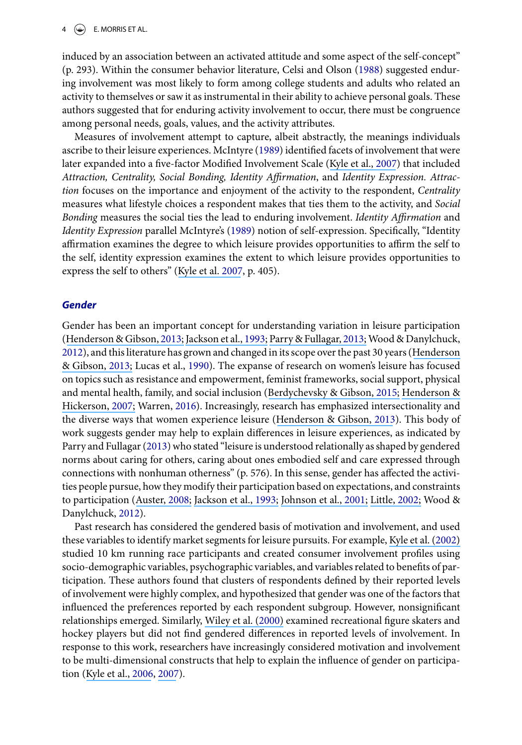$4 \quad \Leftrightarrow$  E. MORRIS ET AL.

induced by an association between an activated attitude and some aspect of the self-concept" (p. 293). Within the consumer behavior literature, Celsi and Olson (1988) suggested enduring involvement was most likely to form among college students and adults who related an activity to themselves or saw it as instrumental in their ability to achieve personal goals. These authors suggested that for enduring activity involvement to occur, there must be congruence among personal needs, goals, values, and the activity attributes.

Measures of involvement attempt to capture, albeit abstractly, the meanings individuals ascribe to their leisure experiences. McIntyre (1989) identified facets of involvement that were later expanded into a five-factor Modified Involvement Scale ([Kyle et al.,](https://www.researchgate.net/publication/252328826_A_Modified_Involvement_Scale?el=1_x_8&enrichId=rgreq-358bf75993b0b78d15cbfae87c388d01-XXX&enrichSource=Y292ZXJQYWdlOzMxMzIzNDU4MTtBUzo0NTc4MDQ5MDIzNDI2NTZAMTQ4NjE2MDYwMjIxOQ==) 2007) that included *Attraction, Centrality, Social Bonding, Identity Affirmation*, and *Identity Expression. Attraction* focuses on the importance and enjoyment of the activity to the respondent, *Centrality* measures what lifestyle choices a respondent makes that ties them to the activity, and *Social Bonding* measures the social ties the lead to enduring involvement. *Identity Affirmation* and *Identity Expression* parallel McIntyre's (1989) notion of self-expression. Specifically, "Identity affirmation examines the degree to which leisure provides opportunities to affirm the self to the self, identity expression examines the extent to which leisure provides opportunities to express the self to others" ([Kyle et al.](https://www.researchgate.net/publication/252328826_A_Modified_Involvement_Scale?el=1_x_8&enrichId=rgreq-358bf75993b0b78d15cbfae87c388d01-XXX&enrichSource=Y292ZXJQYWdlOzMxMzIzNDU4MTtBUzo0NTc4MDQ5MDIzNDI2NTZAMTQ4NjE2MDYwMjIxOQ==) 2007, p. 405).

#### *Gender*

Gender has been an important concept for understanding variation in leisure participation ([Henderson & Gibson,](https://www.researchgate.net/publication/286111452_An_Integrative_Review_of_Women_Gender_and_Leisure_Increasing_Complexities?el=1_x_8&enrichId=rgreq-358bf75993b0b78d15cbfae87c388d01-XXX&enrichSource=Y292ZXJQYWdlOzMxMzIzNDU4MTtBUzo0NTc4MDQ5MDIzNDI2NTZAMTQ4NjE2MDYwMjIxOQ==) 2013; [Jackson et al.,](https://www.researchgate.net/publication/248982125_Negotiation_of_leisure_constraints?el=1_x_8&enrichId=rgreq-358bf75993b0b78d15cbfae87c388d01-XXX&enrichSource=Y292ZXJQYWdlOzMxMzIzNDU4MTtBUzo0NTc4MDQ5MDIzNDI2NTZAMTQ4NjE2MDYwMjIxOQ==) 1993; [Parry & Fullagar,](https://www.researchgate.net/publication/257947548_Feminist_Leisure_Research_in_the_Contemporary_Era_Introduction_to_the_Special_Issue?el=1_x_8&enrichId=rgreq-358bf75993b0b78d15cbfae87c388d01-XXX&enrichSource=Y292ZXJQYWdlOzMxMzIzNDU4MTtBUzo0NTc4MDQ5MDIzNDI2NTZAMTQ4NjE2MDYwMjIxOQ==) 2013;Wood & Danylchuck, 2012), and this literature has grown and changed in its scope over the past 30 years ([Henderson](https://www.researchgate.net/publication/286111452_An_Integrative_Review_of_Women_Gender_and_Leisure_Increasing_Complexities?el=1_x_8&enrichId=rgreq-358bf75993b0b78d15cbfae87c388d01-XXX&enrichSource=Y292ZXJQYWdlOzMxMzIzNDU4MTtBUzo0NTc4MDQ5MDIzNDI2NTZAMTQ4NjE2MDYwMjIxOQ==) [& Gibson,](https://www.researchgate.net/publication/286111452_An_Integrative_Review_of_Women_Gender_and_Leisure_Increasing_Complexities?el=1_x_8&enrichId=rgreq-358bf75993b0b78d15cbfae87c388d01-XXX&enrichSource=Y292ZXJQYWdlOzMxMzIzNDU4MTtBUzo0NTc4MDQ5MDIzNDI2NTZAMTQ4NjE2MDYwMjIxOQ==) 2013; Lucas et al., 1990). The expanse of research on women's leisure has focused on topics such as resistance and empowerment, feminist frameworks, social support, physical and mental health, family, and social inclusion ([Berdychevsky & Gibson,](https://www.researchgate.net/publication/280610860_Women) 2015; [Henderson &](https://www.researchgate.net/publication/267994866_Women_and_Leisure_Premises_and_Performances_Uncovered_in_an_Integrative_Review?el=1_x_8&enrichId=rgreq-358bf75993b0b78d15cbfae87c388d01-XXX&enrichSource=Y292ZXJQYWdlOzMxMzIzNDU4MTtBUzo0NTc4MDQ5MDIzNDI2NTZAMTQ4NjE2MDYwMjIxOQ==) [Hickerson,](https://www.researchgate.net/publication/267994866_Women_and_Leisure_Premises_and_Performances_Uncovered_in_an_Integrative_Review?el=1_x_8&enrichId=rgreq-358bf75993b0b78d15cbfae87c388d01-XXX&enrichSource=Y292ZXJQYWdlOzMxMzIzNDU4MTtBUzo0NTc4MDQ5MDIzNDI2NTZAMTQ4NjE2MDYwMjIxOQ==) 2007; Warren, 2016). Increasingly, research has emphasized intersectionality and the diverse ways that women experience leisure ([Henderson & Gibson,](https://www.researchgate.net/publication/286111452_An_Integrative_Review_of_Women_Gender_and_Leisure_Increasing_Complexities?el=1_x_8&enrichId=rgreq-358bf75993b0b78d15cbfae87c388d01-XXX&enrichSource=Y292ZXJQYWdlOzMxMzIzNDU4MTtBUzo0NTc4MDQ5MDIzNDI2NTZAMTQ4NjE2MDYwMjIxOQ==) 2013). This body of work suggests gender may help to explain differences in leisure experiences, as indicated by Parry and Fullagar (2013) who stated "leisure is understood relationally as shaped by gendered norms about caring for others, caring about ones embodied self and care expressed through connections with nonhuman otherness" (p. 576). In this sense, gender has affected the activities people pursue, how they modify their participation based on expectations, and constraints to participation ([Auster,](https://www.researchgate.net/publication/287556005_The_effect_of_cohort_on_women) 2008; [Jackson et al.,](https://www.researchgate.net/publication/248982125_Negotiation_of_leisure_constraints?el=1_x_8&enrichId=rgreq-358bf75993b0b78d15cbfae87c388d01-XXX&enrichSource=Y292ZXJQYWdlOzMxMzIzNDU4MTtBUzo0NTc4MDQ5MDIzNDI2NTZAMTQ4NjE2MDYwMjIxOQ==) 1993; [Johnson et al.,](https://www.researchgate.net/publication/254415623_Outdoor_Recreation_Constraints_An_Examination_of_Race_Gender_and_Rural_Dwelling?el=1_x_8&enrichId=rgreq-358bf75993b0b78d15cbfae87c388d01-XXX&enrichSource=Y292ZXJQYWdlOzMxMzIzNDU4MTtBUzo0NTc4MDQ5MDIzNDI2NTZAMTQ4NjE2MDYwMjIxOQ==) 2001; [Little,](https://www.researchgate.net/publication/289229923_Women_and_adventure_recreation_Reconstructing_leisure_constraints_and_adventure_experiences_to_negotiate_continuing_participation?el=1_x_8&enrichId=rgreq-358bf75993b0b78d15cbfae87c388d01-XXX&enrichSource=Y292ZXJQYWdlOzMxMzIzNDU4MTtBUzo0NTc4MDQ5MDIzNDI2NTZAMTQ4NjE2MDYwMjIxOQ==) 2002; Wood & Danylchuck, 2012).

Past research has considered the gendered basis of motivation and involvement, and used these variables to identify market segments for leisure pursuits. For example, [Kyle et al. \(2002\)](https://www.researchgate.net/publication/228598100_Market_segmentation_using_participant_involvement_profiles?el=1_x_8&enrichId=rgreq-358bf75993b0b78d15cbfae87c388d01-XXX&enrichSource=Y292ZXJQYWdlOzMxMzIzNDU4MTtBUzo0NTc4MDQ5MDIzNDI2NTZAMTQ4NjE2MDYwMjIxOQ==) studied 10 km running race participants and created consumer involvement profiles using socio-demographic variables, psychographic variables, and variables related to benefits of participation. These authors found that clusters of respondents defined by their reported levels of involvement were highly complex, and hypothesized that gender was one of the factors that influenced the preferences reported by each respondent subgroup. However, nonsignificant relationships emerged. Similarly, [Wiley et al. \(2000\)](https://www.researchgate.net/publication/262873204_Men) examined recreational figure skaters and hockey players but did not find gendered differences in reported levels of involvement. In response to this work, researchers have increasingly considered motivation and involvement to be multi-dimensional constructs that help to explain the influence of gender on participation ([Kyle et al.,](https://www.researchgate.net/publication/228759430_An_Examination_of_the_Motivation-Involvement_Relationship?el=1_x_8&enrichId=rgreq-358bf75993b0b78d15cbfae87c388d01-XXX&enrichSource=Y292ZXJQYWdlOzMxMzIzNDU4MTtBUzo0NTc4MDQ5MDIzNDI2NTZAMTQ4NjE2MDYwMjIxOQ==) 2006, [2007](https://www.researchgate.net/publication/252328826_A_Modified_Involvement_Scale?el=1_x_8&enrichId=rgreq-358bf75993b0b78d15cbfae87c388d01-XXX&enrichSource=Y292ZXJQYWdlOzMxMzIzNDU4MTtBUzo0NTc4MDQ5MDIzNDI2NTZAMTQ4NjE2MDYwMjIxOQ==)).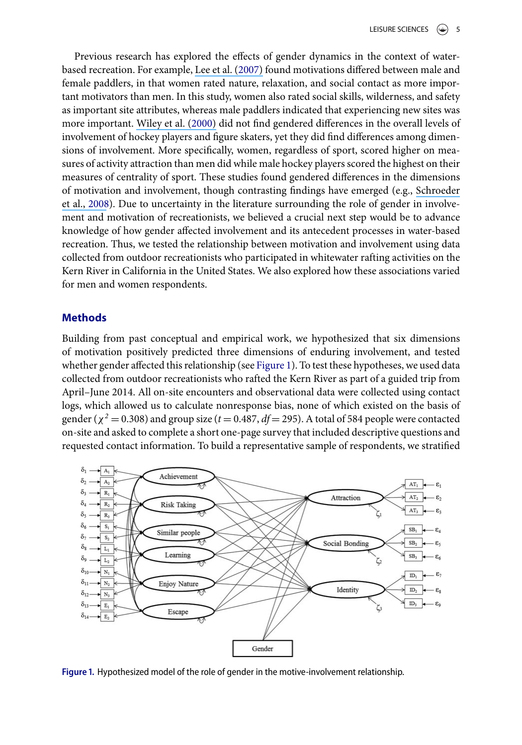Previous research has explored the effects of gender dynamics in the context of waterbased recreation. For example, [Lee et al. \(2007\)](https://www.researchgate.net/publication/238398646_The_Effects_of_Specialization_and_Gender_on_Motivations_and_Preferences_for_Site_Attributes_in_Paddling?el=1_x_8&enrichId=rgreq-358bf75993b0b78d15cbfae87c388d01-XXX&enrichSource=Y292ZXJQYWdlOzMxMzIzNDU4MTtBUzo0NTc4MDQ5MDIzNDI2NTZAMTQ4NjE2MDYwMjIxOQ==) found motivations differed between male and female paddlers, in that women rated nature, relaxation, and social contact as more important motivators than men. In this study, women also rated social skills, wilderness, and safety as important site attributes, whereas male paddlers indicated that experiencing new sites was more important. [Wiley et al. \(2000\)](https://www.researchgate.net/publication/262873204_Men) did not find gendered differences in the overall levels of involvement of hockey players and figure skaters, yet they did find differences among dimensions of involvement. More specifically, women, regardless of sport, scored higher on measures of activity attraction than men did while male hockey players scored the highest on their measures of centrality of sport. These studies found gendered differences in the dimensions of motivation and involvement, though contrasting findings have emerged (e.g., [Schroeder](https://www.researchgate.net/publication/258367478_Fishing_in_the_neighborhood_Understanding_motivations_and_constraints_to_angling_among_Twin_Cities_metro_residents?el=1_x_8&enrichId=rgreq-358bf75993b0b78d15cbfae87c388d01-XXX&enrichSource=Y292ZXJQYWdlOzMxMzIzNDU4MTtBUzo0NTc4MDQ5MDIzNDI2NTZAMTQ4NjE2MDYwMjIxOQ==) [et al.,](https://www.researchgate.net/publication/258367478_Fishing_in_the_neighborhood_Understanding_motivations_and_constraints_to_angling_among_Twin_Cities_metro_residents?el=1_x_8&enrichId=rgreq-358bf75993b0b78d15cbfae87c388d01-XXX&enrichSource=Y292ZXJQYWdlOzMxMzIzNDU4MTtBUzo0NTc4MDQ5MDIzNDI2NTZAMTQ4NjE2MDYwMjIxOQ==) 2008). Due to uncertainty in the literature surrounding the role of gender in involvement and motivation of recreationists, we believed a crucial next step would be to advance knowledge of how gender affected involvement and its antecedent processes in water-based recreation. Thus, we tested the relationship between motivation and involvement using data collected from outdoor recreationists who participated in whitewater rafting activities on the Kern River in California in the United States. We also explored how these associations varied for men and women respondents.

# **Methods**

Building from past conceptual and empirical work, we hypothesized that six dimensions of motivation positively predicted three dimensions of enduring involvement, and tested whether gender affected this relationship (see Figure 1). To test these hypotheses, we used data collected from outdoor recreationists who rafted the Kern River as part of a guided trip from April–June 2014. All on-site encounters and observational data were collected using contact logs, which allowed us to calculate nonresponse bias, none of which existed on the basis of gender ( $\chi^2$  = 0.308) and group size ( $t$  = 0.487,  $df$  = 295). A total of 584 people were contacted on-site and asked to complete a short one-page survey that included descriptive questions and requested contact information. To build a representative sample of respondents, we stratified



Figure 1. Hypothesized model of the role of gender in the motive-involvement relationship.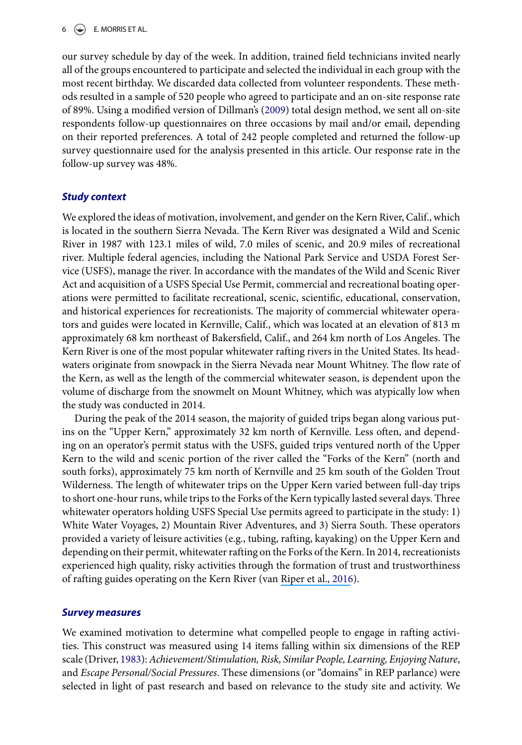our survey schedule by day of the week. In addition, trained field technicians invited nearly all of the groups encountered to participate and selected the individual in each group with the most recent birthday. We discarded data collected from volunteer respondents. These methods resulted in a sample of 520 people who agreed to participate and an on-site response rate of 89%. Using a modified version of Dillman's (2009) total design method, we sent all on-site respondents follow-up questionnaires on three occasions by mail and/or email, depending on their reported preferences. A total of 242 people completed and returned the follow-up survey questionnaire used for the analysis presented in this article. Our response rate in the follow-up survey was 48%.

## *Study context*

We explored the ideas of motivation, involvement, and gender on the Kern River, Calif., which is located in the southern Sierra Nevada. The Kern River was designated a Wild and Scenic River in 1987 with 123.1 miles of wild, 7.0 miles of scenic, and 20.9 miles of recreational river. Multiple federal agencies, including the National Park Service and USDA Forest Service (USFS), manage the river. In accordance with the mandates of the Wild and Scenic River Act and acquisition of a USFS Special Use Permit, commercial and recreational boating operations were permitted to facilitate recreational, scenic, scientific, educational, conservation, and historical experiences for recreationists. The majority of commercial whitewater operators and guides were located in Kernville, Calif., which was located at an elevation of 813 m approximately 68 km northeast of Bakersfield, Calif., and 264 km north of Los Angeles. The Kern River is one of the most popular whitewater rafting rivers in the United States. Its headwaters originate from snowpack in the Sierra Nevada near Mount Whitney. The flow rate of the Kern, as well as the length of the commercial whitewater season, is dependent upon the volume of discharge from the snowmelt on Mount Whitney, which was atypically low when the study was conducted in 2014.

During the peak of the 2014 season, the majority of guided trips began along various putins on the "Upper Kern," approximately 32 km north of Kernville. Less often, and depending on an operator's permit status with the USFS, guided trips ventured north of the Upper Kern to the wild and scenic portion of the river called the "Forks of the Kern" (north and south forks), approximately 75 km north of Kernville and 25 km south of the Golden Trout Wilderness. The length of whitewater trips on the Upper Kern varied between full-day trips to short one-hour runs, while trips to the Forks of the Kern typically lasted several days. Three whitewater operators holding USFS Special Use permits agreed to participate in the study: 1) White Water Voyages, 2) Mountain River Adventures, and 3) Sierra South. These operators provided a variety of leisure activities (e.g., tubing, rafting, kayaking) on the Upper Kern and depending on their permit, whitewater rafting on the Forks of the Kern. In 2014, recreationists experienced high quality, risky activities through the formation of trust and trustworthiness of rafting guides operating on the Kern River (van [Riper et al.,](https://www.researchgate.net/publication/291347361_Modeling_the_trust-risk_relationship_in_a_wildland_recreation_setting_A_social_exchange_perspective?el=1_x_8&enrichId=rgreq-358bf75993b0b78d15cbfae87c388d01-XXX&enrichSource=Y292ZXJQYWdlOzMxMzIzNDU4MTtBUzo0NTc4MDQ5MDIzNDI2NTZAMTQ4NjE2MDYwMjIxOQ==) 2016).

#### *Survey measures*

We examined motivation to determine what compelled people to engage in rafting activities. This construct was measured using 14 items falling within six dimensions of the REP scale (Driver, 1983):*Achievement/Stimulation, Risk, Similar People, Learning, Enjoying Nature*, and *Escape Personal/Social Pressures*. These dimensions (or "domains" in REP parlance) were selected in light of past research and based on relevance to the study site and activity. We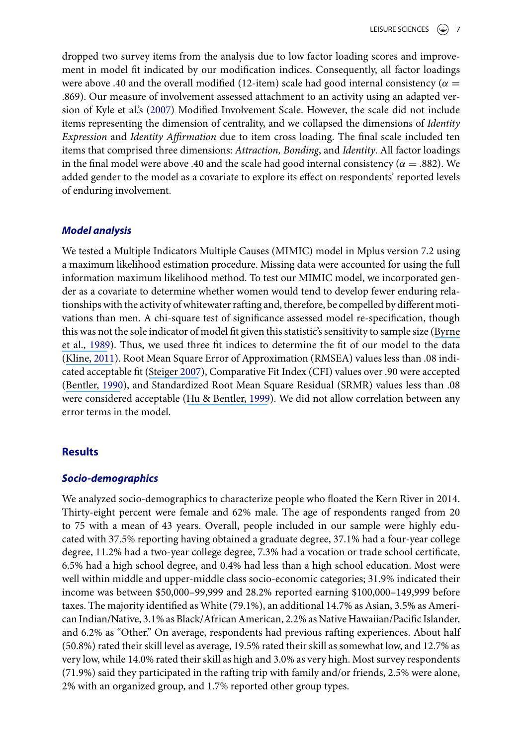dropped two survey items from the analysis due to low factor loading scores and improvement in model fit indicated by our modification indices. Consequently, all factor loadings were above .40 and the overall modified (12-item) scale had good internal consistency ( $\alpha =$ .869). Our measure of involvement assessed attachment to an activity using an adapted version of Kyle et al.'s (2007) Modified Involvement Scale. However, the scale did not include items representing the dimension of centrality, and we collapsed the dimensions of *Identity Expression* and *Identity Affirmation* due to item cross loading. The final scale included ten items that comprised three dimensions: *Attraction, Bonding*, and *Identity*. All factor loadings in the final model were above .40 and the scale had good internal consistency ( $\alpha = .882$ ). We added gender to the model as a covariate to explore its effect on respondents' reported levels of enduring involvement.

## *Model analysis*

We tested a Multiple Indicators Multiple Causes (MIMIC) model in Mplus version 7.2 using a maximum likelihood estimation procedure. Missing data were accounted for using the full information maximum likelihood method. To test our MIMIC model, we incorporated gender as a covariate to determine whether women would tend to develop fewer enduring relationships with the activity of whitewater rafting and, therefore, be compelled by different motivations than men. A chi-square test of significance assessed model re-specification, though this was not the sole indicator of model fit given this statistic's sensitivity to sample size ([Byrne](https://www.researchgate.net/publication/232588408_Testing_for_the_Equivalence_of_Factor_Covariance_and_Mean_Structures_The_Issue_of_Partial_Measurement_Invariance?el=1_x_8&enrichId=rgreq-358bf75993b0b78d15cbfae87c388d01-XXX&enrichSource=Y292ZXJQYWdlOzMxMzIzNDU4MTtBUzo0NTc4MDQ5MDIzNDI2NTZAMTQ4NjE2MDYwMjIxOQ==) [et al.,](https://www.researchgate.net/publication/232588408_Testing_for_the_Equivalence_of_Factor_Covariance_and_Mean_Structures_The_Issue_of_Partial_Measurement_Invariance?el=1_x_8&enrichId=rgreq-358bf75993b0b78d15cbfae87c388d01-XXX&enrichSource=Y292ZXJQYWdlOzMxMzIzNDU4MTtBUzo0NTc4MDQ5MDIzNDI2NTZAMTQ4NjE2MDYwMjIxOQ==) 1989). Thus, we used three fit indices to determine the fit of our model to the data ([Kline,](https://www.researchgate.net/publication/303919046_Principles_and_Practice_of_Structural_Equation_Modeling?el=1_x_8&enrichId=rgreq-358bf75993b0b78d15cbfae87c388d01-XXX&enrichSource=Y292ZXJQYWdlOzMxMzIzNDU4MTtBUzo0NTc4MDQ5MDIzNDI2NTZAMTQ4NjE2MDYwMjIxOQ==) 2011). Root Mean Square Error of Approximation (RMSEA) values less than .08 indicated acceptable fit ([Steiger](https://www.researchgate.net/publication/238293455_Understanding_the_Limitations_of_Global_Fit_Assessment_in_Structural_Equation_Modeling?el=1_x_8&enrichId=rgreq-358bf75993b0b78d15cbfae87c388d01-XXX&enrichSource=Y292ZXJQYWdlOzMxMzIzNDU4MTtBUzo0NTc4MDQ5MDIzNDI2NTZAMTQ4NjE2MDYwMjIxOQ==) 2007), Comparative Fit Index (CFI) values over .90 were accepted ([Bentler,](https://www.researchgate.net/publication/312604539_Comparative_fit_indexes_in_structural_models?el=1_x_8&enrichId=rgreq-358bf75993b0b78d15cbfae87c388d01-XXX&enrichSource=Y292ZXJQYWdlOzMxMzIzNDU4MTtBUzo0NTc4MDQ5MDIzNDI2NTZAMTQ4NjE2MDYwMjIxOQ==) 1990), and Standardized Root Mean Square Residual (SRMR) values less than .08 were considered acceptable ([Hu & Bentler,](https://www.researchgate.net/publication/309032267_Cutoff_criteria_for_fit_indexes_in_covariance_structure_analysis_Conventional_criteria_versus_new_alternatives?el=1_x_8&enrichId=rgreq-358bf75993b0b78d15cbfae87c388d01-XXX&enrichSource=Y292ZXJQYWdlOzMxMzIzNDU4MTtBUzo0NTc4MDQ5MDIzNDI2NTZAMTQ4NjE2MDYwMjIxOQ==) 1999). We did not allow correlation between any error terms in the model.

# **Results**

#### *Socio-demographics*

We analyzed socio-demographics to characterize people who floated the Kern River in 2014. Thirty-eight percent were female and 62% male. The age of respondents ranged from 20 to 75 with a mean of 43 years. Overall, people included in our sample were highly educated with 37.5% reporting having obtained a graduate degree, 37.1% had a four-year college degree, 11.2% had a two-year college degree, 7.3% had a vocation or trade school certificate, 6.5% had a high school degree, and 0.4% had less than a high school education. Most were well within middle and upper-middle class socio-economic categories; 31.9% indicated their income was between \$50,000–99,999 and 28.2% reported earning \$100,000–149,999 before taxes. The majority identified as White (79.1%), an additional 14.7% as Asian, 3.5% as American Indian/Native, 3.1% as Black/African American, 2.2% as Native Hawaiian/Pacific Islander, and 6.2% as "Other." On average, respondents had previous rafting experiences. About half (50.8%) rated their skill level as average, 19.5% rated their skill as somewhat low, and 12.7% as very low, while 14.0% rated their skill as high and 3.0% as very high. Most survey respondents (71.9%) said they participated in the rafting trip with family and/or friends, 2.5% were alone, 2% with an organized group, and 1.7% reported other group types.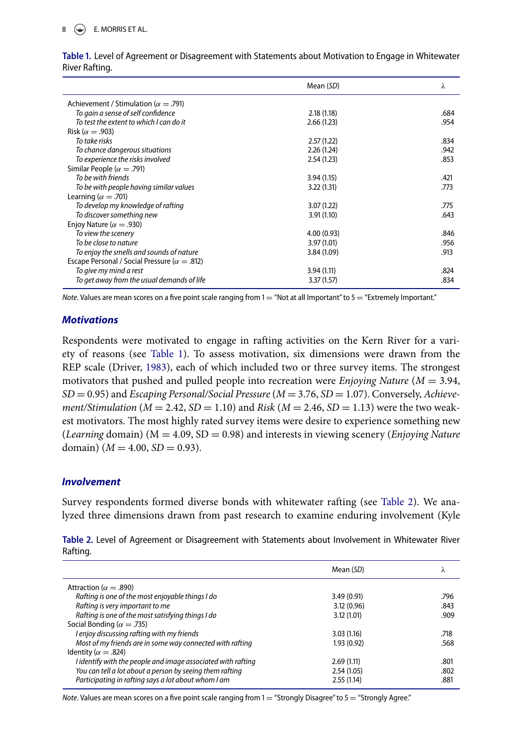|                                                       | Mean (SD)  | λ    |
|-------------------------------------------------------|------------|------|
| Achievement / Stimulation ( $\alpha = .791$ )         |            |      |
| To gain a sense of self confidence                    | 2.18(1.18) | .684 |
| To test the extent to which I can do it               | 2.66(1.23) | .954 |
| Risk ( $\alpha = .903$ )                              |            |      |
| To take risks                                         | 2.57(1.22) | .834 |
| To chance dangerous situations                        | 2.26(1.24) | .942 |
| To experience the risks involved                      | 2.54(1.23) | .853 |
| Similar People ( $\alpha = .791$ )                    |            |      |
| To be with friends                                    | 3.94(1.15) | .421 |
| To be with people having similar values               | 3.22(1.31) | .773 |
| Learning ( $\alpha = .701$ )                          |            |      |
| To develop my knowledge of rafting                    | 3.07(1.22) | .775 |
| To discover something new                             | 3.91(1.10) | .643 |
| Enjoy Nature ( $\alpha = .930$ )                      |            |      |
| To view the scenery                                   | 4.00(0.93) | .846 |
| To be close to nature                                 | 3.97(1.01) | .956 |
| To enjoy the smells and sounds of nature              | 3.84(1.09) | .913 |
| Escape Personal / Social Pressure ( $\alpha = .812$ ) |            |      |
| To give my mind a rest                                | 3.94(1.11) | .824 |
| To get away from the usual demands of life            | 3.37(1.57) | .834 |

Table 1. Level of Agreement or Disagreement with Statements about Motivation to Engage in Whitewater River Rafting.

*Note*. Values are mean scores on a five point scale ranging from 1 = "Not at all Important" to 5 = "Extremely Important."

# *Motivations*

Respondents were motivated to engage in rafting activities on the Kern River for a variety of reasons (see Table 1). To assess motivation, six dimensions were drawn from the REP scale (Driver, 1983), each of which included two or three survey items. The strongest motivators that pushed and pulled people into recreation were *Enjoying Nature* (*M* = 3.94, *SD* = 0.95) and *Escaping Personal/Social Pressure* (*M* = 3.76, *SD* = 1.07). Conversely, *Achievement/Stimulation* ( $M = 2.42$ ,  $SD = 1.10$ ) and *Risk* ( $M = 2.46$ ,  $SD = 1.13$ ) were the two weakest motivators. The most highly rated survey items were desire to experience something new (*Learning* domain) (M = 4.09, SD = 0.98) and interests in viewing scenery (*Enjoying Nature* domain)  $(M = 4.00, SD = 0.93)$ .

# *Involvement*

Survey respondents formed diverse bonds with whitewater rafting (see Table 2). We analyzed three dimensions drawn from past research to examine enduring involvement (Kyle

| Table 2. Level of Agreement or Disagreement with Statements about Involvement in Whitewater River |  |  |  |  |  |
|---------------------------------------------------------------------------------------------------|--|--|--|--|--|
| Rafting.                                                                                          |  |  |  |  |  |

|                                                              | Mean (SD)  |      |
|--------------------------------------------------------------|------------|------|
| Attraction ( $\alpha = .890$ )                               |            |      |
| Rafting is one of the most enjoyable things I do             | 3.49(0.91) | .796 |
| Rafting is very important to me                              | 3.12(0.96) | .843 |
| Rafting is one of the most satisfying things I do            | 3.12(1.01) | .909 |
| Social Bonding ( $\alpha = .735$ )                           |            |      |
| I enjoy discussing rafting with my friends                   | 3.03(1.16) | .718 |
| Most of my friends are in some way connected with rafting    | 1.93(0.92) | .568 |
| Identity ( $\alpha = .824$ )                                 |            |      |
| I identify with the people and image associated with rafting | 2.69(1.11) | .801 |
| You can tell a lot about a person by seeing them rafting     | 2.54(1.05) | .802 |
| Participating in rafting says a lot about whom I am          | 2.55(1.14) | .881 |

*Note*. Values are mean scores on a five point scale ranging from 1 = "Strongly Disagree" to 5 = "Strongly Agree."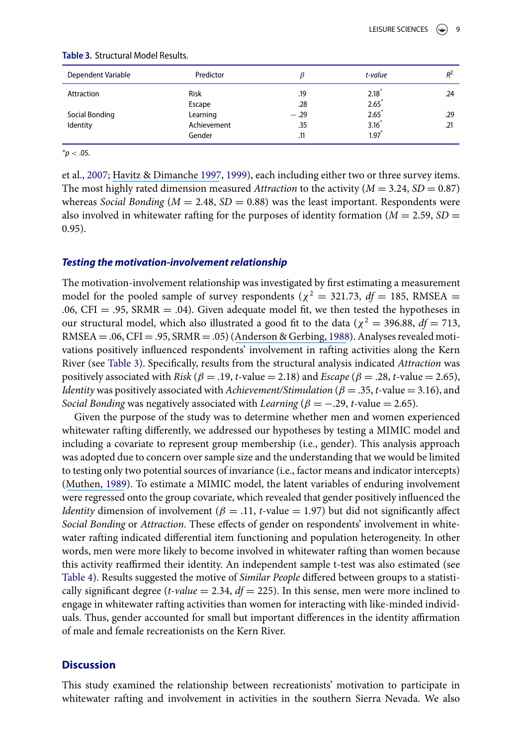| Dependent Variable | Predictor   |        | t-value | $R^2$ |
|--------------------|-------------|--------|---------|-------|
| Attraction         | <b>Risk</b> | .19    | 2.18    | .24   |
|                    | Escape      | .28    | 2.65    |       |
| Social Bonding     | Learning    | $-.29$ | 2.65    | .29   |
| Identity           | Achievement | .35    | 3.16    |       |
|                    | Gender      | .11    | $1.97*$ |       |

#### **Table 3. Structural Model Results.**

 $*$ *p* < .05.

et al., 2007; [Havitz & Dimanche](https://www.researchgate.net/publication/279903752_Leisure_involvement_revisited_Conceptual_conundrums_and_measurement_advances?el=1_x_8&enrichId=rgreq-358bf75993b0b78d15cbfae87c388d01-XXX&enrichSource=Y292ZXJQYWdlOzMxMzIzNDU4MTtBUzo0NTc4MDQ5MDIzNDI2NTZAMTQ4NjE2MDYwMjIxOQ==) 1997, 1999), each including either two or three survey items. The most highly rated dimension measured *Attraction* to the activity  $(M = 3.24, SD = 0.87)$ whereas *Social Bonding* ( $M = 2.48$ ,  $SD = 0.88$ ) was the least important. Respondents were also involved in whitewater rafting for the purposes of identity formation ( $M = 2.59$ ,  $SD =$ 0.95).

#### *Testing the motivation-involvement relationship*

The motivation-involvement relationship was investigated by first estimating a measurement model for the pooled sample of survey respondents ( $\chi^2 = 321.73$ ,  $df = 185$ , RMSEA = .06, CFI = .95, SRMR = .04). Given adequate model fit, we then tested the hypotheses in our structural model, which also illustrated a good fit to the data ( $\chi^2 = 396.88$ ,  $df = 713$ ,  $RMSEA = .06$ ,  $CFI = .95$ ,  $SRMR = .05$ ) ([Anderson & Gerbing,](https://www.researchgate.net/publication/281069890_Structural_equation_modeling_in_practice_A_review_and_recommended_two-step_approach?el=1_x_8&enrichId=rgreq-358bf75993b0b78d15cbfae87c388d01-XXX&enrichSource=Y292ZXJQYWdlOzMxMzIzNDU4MTtBUzo0NTc4MDQ5MDIzNDI2NTZAMTQ4NjE2MDYwMjIxOQ==) 1988). Analyses revealed motivations positively influenced respondents' involvement in rafting activities along the Kern River (see Table 3). Specifically, results from the structural analysis indicated *Attraction* was positively associated with *Risk* ( $\beta = .19$ , *t*-value = 2.18) and *Escape* ( $\beta = .28$ , *t*-value = 2.65), *Identity* was positively associated with *Achievement/Stimulation* ( $\beta = 0.35$ , *t*-value = 3.16), and *Social Bonding* was negatively associated with *Learning* ( $\beta = -.29$ , *t*-value = 2.65).

Given the purpose of the study was to determine whether men and women experienced whitewater rafting differently, we addressed our hypotheses by testing a MIMIC model and including a covariate to represent group membership (i.e., gender). This analysis approach was adopted due to concern over sample size and the understanding that we would be limited to testing only two potential sources of invariance (i.e., factor means and indicator intercepts) ([Muthen,](https://www.researchgate.net/publication/24062881_Latent_Variable_Modeling_in_Heterogeneous_Populations?el=1_x_8&enrichId=rgreq-358bf75993b0b78d15cbfae87c388d01-XXX&enrichSource=Y292ZXJQYWdlOzMxMzIzNDU4MTtBUzo0NTc4MDQ5MDIzNDI2NTZAMTQ4NjE2MDYwMjIxOQ==) 1989). To estimate a MIMIC model, the latent variables of enduring involvement were regressed onto the group covariate, which revealed that gender positively influenced the *Identity* dimension of involvement ( $\beta = .11$ , *t*-value = 1.97) but did not significantly affect *Social Bonding* or *Attraction*. These effects of gender on respondents' involvement in whitewater rafting indicated differential item functioning and population heterogeneity. In other words, men were more likely to become involved in whitewater rafting than women because this activity reaffirmed their identity. An independent sample t-test was also estimated (see Table 4). Results suggested the motive of *Similar People* differed between groups to a statistically significant degree ( $t$ -value = 2.34,  $df = 225$ ). In this sense, men were more inclined to engage in whitewater rafting activities than women for interacting with like-minded individuals. Thus, gender accounted for small but important differences in the identity affirmation of male and female recreationists on the Kern River.

#### **Discussion**

This study examined the relationship between recreationists' motivation to participate in whitewater rafting and involvement in activities in the southern Sierra Nevada. We also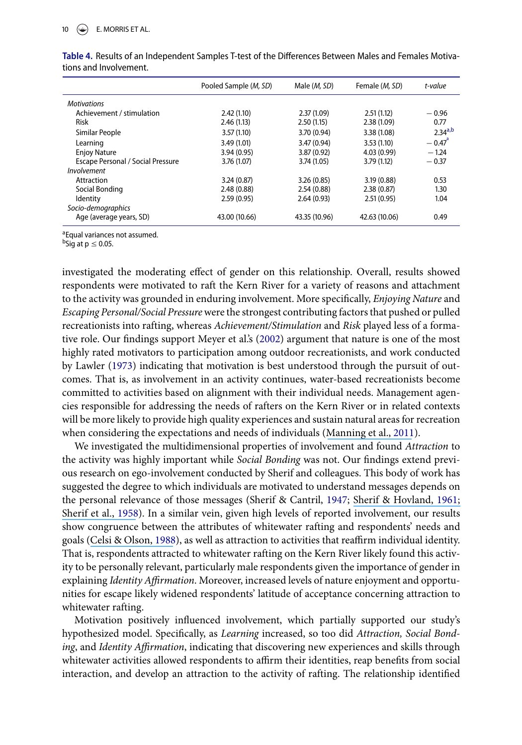|                                   | Pooled Sample ( <i>M, SD</i> ) | Male ( <i>M</i> , <i>SD</i> ) | Female ( <i>M</i> , SD) | t-value              |
|-----------------------------------|--------------------------------|-------------------------------|-------------------------|----------------------|
| <b>Motivations</b>                |                                |                               |                         |                      |
| Achievement / stimulation         | 2.42(1.10)                     | 2.37(1.09)                    | 2.51(1.12)              | $-0.96$              |
| Risk                              | 2.46(1.13)                     | 2.50(1.15)                    | 2.38(1.09)              | 0.77                 |
| Similar People                    | 3.57(1.10)                     | 3.70 (0.94)                   | 3.38 (1.08)             | $2.34^{a,b}$         |
| Learning                          | 3.49(1.01)                     | 3.47(0.94)                    | 3.53(1.10)              | $-0.47$ <sup>a</sup> |
| <b>Enjoy Nature</b>               | 3.94(0.95)                     | 3.87 (0.92)                   | 4.03(0.99)              | $-1.24$              |
| Escape Personal / Social Pressure | 3.76(1.07)                     | 3.74(1.05)                    | 3.79(1.12)              | $-0.37$              |
| Involvement                       |                                |                               |                         |                      |
| Attraction                        | 3.24(0.87)                     | 3.26(0.85)                    | 3.19 (0.88)             | 0.53                 |
| Social Bonding                    | 2.48(0.88)                     | 2.54(0.88)                    | 2.38(0.87)              | 1.30                 |
| Identity                          | 2.59(0.95)                     | 2.64(0.93)                    | 2.51(0.95)              | 1.04                 |
| Socio-demographics                |                                |                               |                         |                      |
| Age (average years, SD)           | 43.00 (10.66)                  | 43.35 (10.96)                 | 42.63 (10.06)           | 0.49                 |

Table 4. Results of an Independent Samples T-test of the Differences Between Males and Females Motivations and Involvement.

<sup>a</sup>Equal variances not assumed.

 $^{b}$ Sig at p  $\leq 0.05$ .

investigated the moderating effect of gender on this relationship. Overall, results showed respondents were motivated to raft the Kern River for a variety of reasons and attachment to the activity was grounded in enduring involvement. More specifically, *Enjoying Nature* and *Escaping Personal/Social Pressure*were the strongest contributing factors that pushed or pulled recreationists into rafting, whereas *Achievement/Stimulation* and *Risk* played less of a formative role. Our findings support Meyer et al.'s (2002) argument that nature is one of the most highly rated motivators to participation among outdoor recreationists, and work conducted by Lawler (1973) indicating that motivation is best understood through the pursuit of outcomes. That is, as involvement in an activity continues, water-based recreationists become committed to activities based on alignment with their individual needs. Management agencies responsible for addressing the needs of rafters on the Kern River or in related contexts will be more likely to provide high quality experiences and sustain natural areas for recreation when considering the expectations and needs of individuals ([Manning et al.,](https://www.researchgate.net/publication/263658464_Defining_Measuring_Monitoring_and_Managing_the_Sustainability_of_Parks_for_Outdoor_Recreation?el=1_x_8&enrichId=rgreq-358bf75993b0b78d15cbfae87c388d01-XXX&enrichSource=Y292ZXJQYWdlOzMxMzIzNDU4MTtBUzo0NTc4MDQ5MDIzNDI2NTZAMTQ4NjE2MDYwMjIxOQ==) 2011).

We investigated the multidimensional properties of involvement and found *Attraction* to the activity was highly important while *Social Bonding* was not. Our findings extend previous research on ego-involvement conducted by Sherif and colleagues. This body of work has suggested the degree to which individuals are motivated to understand messages depends on the personal relevance of those messages (Sherif & Cantril, 1947; [Sherif & Hovland,](https://www.researchgate.net/publication/232462809_Social_judgment_Assimilation_and_contrast_effects_in_communication_and_attitude_change?el=1_x_8&enrichId=rgreq-358bf75993b0b78d15cbfae87c388d01-XXX&enrichSource=Y292ZXJQYWdlOzMxMzIzNDU4MTtBUzo0NTc4MDQ5MDIzNDI2NTZAMTQ4NjE2MDYwMjIxOQ==) 1961; [Sherif et al.,](https://www.researchgate.net/publication/10052409_Assimilation_and_Contrast_Effects_of_Anchoring_Stimuli_on_Judgment?el=1_x_8&enrichId=rgreq-358bf75993b0b78d15cbfae87c388d01-XXX&enrichSource=Y292ZXJQYWdlOzMxMzIzNDU4MTtBUzo0NTc4MDQ5MDIzNDI2NTZAMTQ4NjE2MDYwMjIxOQ==) 1958). In a similar vein, given high levels of reported involvement, our results show congruence between the attributes of whitewater rafting and respondents' needs and goals [\(Celsi & Olson,](https://www.researchgate.net/publication/24098558_The_Role_of_Involvement_in_Attention_and_Comprehension_Processes?el=1_x_8&enrichId=rgreq-358bf75993b0b78d15cbfae87c388d01-XXX&enrichSource=Y292ZXJQYWdlOzMxMzIzNDU4MTtBUzo0NTc4MDQ5MDIzNDI2NTZAMTQ4NjE2MDYwMjIxOQ==) 1988), as well as attraction to activities that reaffirm individual identity. That is, respondents attracted to whitewater rafting on the Kern River likely found this activity to be personally relevant, particularly male respondents given the importance of gender in explaining *Identity Affirmation*. Moreover, increased levels of nature enjoyment and opportunities for escape likely widened respondents' latitude of acceptance concerning attraction to whitewater rafting.

Motivation positively influenced involvement, which partially supported our study's hypothesized model. Specifically, as *Learning* increased, so too did *Attraction, Social Bonding*, and *Identity Affirmation*, indicating that discovering new experiences and skills through whitewater activities allowed respondents to affirm their identities, reap benefits from social interaction, and develop an attraction to the activity of rafting. The relationship identified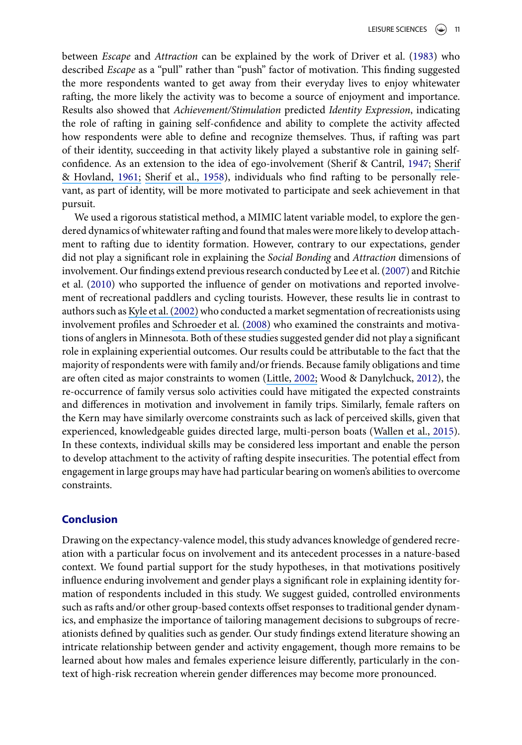between *Escape* and *Attraction* can be explained by the work of Driver et al. (1983) who described *Escape* as a "pull" rather than "push" factor of motivation. This finding suggested the more respondents wanted to get away from their everyday lives to enjoy whitewater rafting, the more likely the activity was to become a source of enjoyment and importance. Results also showed that *Achievement/Stimulation* predicted *Identity Expression*, indicating the role of rafting in gaining self-confidence and ability to complete the activity affected how respondents were able to define and recognize themselves. Thus, if rafting was part of their identity, succeeding in that activity likely played a substantive role in gaining selfconfidence. As an extension to the idea of ego-involvement (Sherif & Cantril, 1947; [Sherif](https://www.researchgate.net/publication/232462809_Social_judgment_Assimilation_and_contrast_effects_in_communication_and_attitude_change?el=1_x_8&enrichId=rgreq-358bf75993b0b78d15cbfae87c388d01-XXX&enrichSource=Y292ZXJQYWdlOzMxMzIzNDU4MTtBUzo0NTc4MDQ5MDIzNDI2NTZAMTQ4NjE2MDYwMjIxOQ==) [& Hovland,](https://www.researchgate.net/publication/232462809_Social_judgment_Assimilation_and_contrast_effects_in_communication_and_attitude_change?el=1_x_8&enrichId=rgreq-358bf75993b0b78d15cbfae87c388d01-XXX&enrichSource=Y292ZXJQYWdlOzMxMzIzNDU4MTtBUzo0NTc4MDQ5MDIzNDI2NTZAMTQ4NjE2MDYwMjIxOQ==) 1961; [Sherif et al.,](https://www.researchgate.net/publication/10052409_Assimilation_and_Contrast_Effects_of_Anchoring_Stimuli_on_Judgment?el=1_x_8&enrichId=rgreq-358bf75993b0b78d15cbfae87c388d01-XXX&enrichSource=Y292ZXJQYWdlOzMxMzIzNDU4MTtBUzo0NTc4MDQ5MDIzNDI2NTZAMTQ4NjE2MDYwMjIxOQ==) 1958), individuals who find rafting to be personally relevant, as part of identity, will be more motivated to participate and seek achievement in that pursuit.

We used a rigorous statistical method, a MIMIC latent variable model, to explore the gendered dynamics of whitewater rafting and found that males were more likely to develop attachment to rafting due to identity formation. However, contrary to our expectations, gender did not play a significant role in explaining the *Social Bonding* and *Attraction* dimensions of involvement. Our findings extend previous research conducted by Lee et al. (2007) and Ritchie et al. (2010) who supported the influence of gender on motivations and reported involvement of recreational paddlers and cycling tourists. However, these results lie in contrast to authors such as [Kyle et al. \(2002\)](https://www.researchgate.net/publication/228598100_Market_segmentation_using_participant_involvement_profiles?el=1_x_8&enrichId=rgreq-358bf75993b0b78d15cbfae87c388d01-XXX&enrichSource=Y292ZXJQYWdlOzMxMzIzNDU4MTtBUzo0NTc4MDQ5MDIzNDI2NTZAMTQ4NjE2MDYwMjIxOQ==) who conducted a market segmentation of recreationists using involvement profiles and [Schroeder et al. \(2008\)](https://www.researchgate.net/publication/258367478_Fishing_in_the_neighborhood_Understanding_motivations_and_constraints_to_angling_among_Twin_Cities_metro_residents?el=1_x_8&enrichId=rgreq-358bf75993b0b78d15cbfae87c388d01-XXX&enrichSource=Y292ZXJQYWdlOzMxMzIzNDU4MTtBUzo0NTc4MDQ5MDIzNDI2NTZAMTQ4NjE2MDYwMjIxOQ==) who examined the constraints and motivations of anglers in Minnesota. Both of these studies suggested gender did not play a significant role in explaining experiential outcomes. Our results could be attributable to the fact that the majority of respondents were with family and/or friends. Because family obligations and time are often cited as major constraints to women [\(Little,](https://www.researchgate.net/publication/289229923_Women_and_adventure_recreation_Reconstructing_leisure_constraints_and_adventure_experiences_to_negotiate_continuing_participation?el=1_x_8&enrichId=rgreq-358bf75993b0b78d15cbfae87c388d01-XXX&enrichSource=Y292ZXJQYWdlOzMxMzIzNDU4MTtBUzo0NTc4MDQ5MDIzNDI2NTZAMTQ4NjE2MDYwMjIxOQ==) 2002; Wood & Danylchuck, 2012), the re-occurrence of family versus solo activities could have mitigated the expected constraints and differences in motivation and involvement in family trips. Similarly, female rafters on the Kern may have similarly overcome constraints such as lack of perceived skills, given that experienced, knowledgeable guides directed large, multi-person boats ([Wallen et al.,](https://www.researchgate.net/publication/279447318_Carrying_Capacity_and_Commercial_Services_in_the_Southern_Sierra_Nevada?el=1_x_8&enrichId=rgreq-358bf75993b0b78d15cbfae87c388d01-XXX&enrichSource=Y292ZXJQYWdlOzMxMzIzNDU4MTtBUzo0NTc4MDQ5MDIzNDI2NTZAMTQ4NjE2MDYwMjIxOQ==) 2015). In these contexts, individual skills may be considered less important and enable the person to develop attachment to the activity of rafting despite insecurities. The potential effect from engagement in large groups may have had particular bearing on women's abilities to overcome constraints.

# **Conclusion**

Drawing on the expectancy-valence model, this study advances knowledge of gendered recreation with a particular focus on involvement and its antecedent processes in a nature-based context. We found partial support for the study hypotheses, in that motivations positively influence enduring involvement and gender plays a significant role in explaining identity formation of respondents included in this study. We suggest guided, controlled environments such as rafts and/or other group-based contexts offset responses to traditional gender dynamics, and emphasize the importance of tailoring management decisions to subgroups of recreationists defined by qualities such as gender. Our study findings extend literature showing an intricate relationship between gender and activity engagement, though more remains to be learned about how males and females experience leisure differently, particularly in the context of high-risk recreation wherein gender differences may become more pronounced.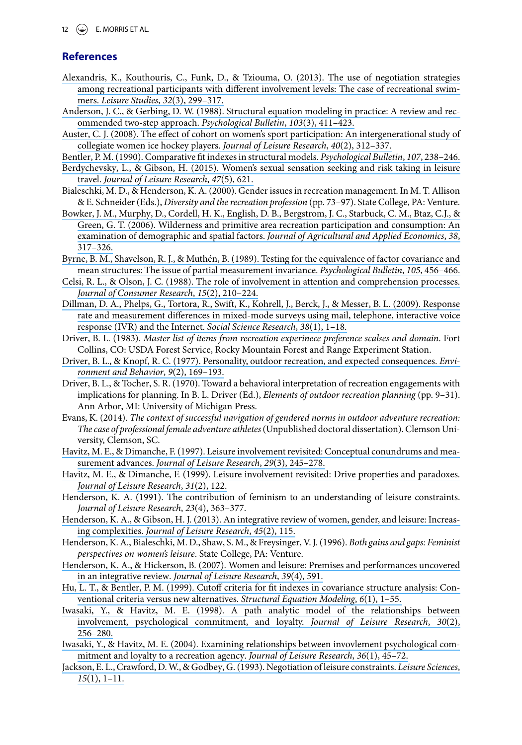# **References**

- [Alexandris, K., Kouthouris, C., Funk, D., & Tziouma, O. \(2013\). The use of negotiation strategies](https://www.researchgate.net/publication/254328199_The_use_of_negotiation_strategies_among_recreational_participants_with_different_involvement_levels_the_case_of_recreational_swimmers?el=1_x_8&enrichId=rgreq-358bf75993b0b78d15cbfae87c388d01-XXX&enrichSource=Y292ZXJQYWdlOzMxMzIzNDU4MTtBUzo0NTc4MDQ5MDIzNDI2NTZAMTQ4NjE2MDYwMjIxOQ==) [among recreational participants with different involvement levels: The case of recreational swim](https://www.researchgate.net/publication/254328199_The_use_of_negotiation_strategies_among_recreational_participants_with_different_involvement_levels_the_case_of_recreational_swimmers?el=1_x_8&enrichId=rgreq-358bf75993b0b78d15cbfae87c388d01-XXX&enrichSource=Y292ZXJQYWdlOzMxMzIzNDU4MTtBUzo0NTc4MDQ5MDIzNDI2NTZAMTQ4NjE2MDYwMjIxOQ==)mers. *[Leisure Studies](https://www.researchgate.net/publication/254328199_The_use_of_negotiation_strategies_among_recreational_participants_with_different_involvement_levels_the_case_of_recreational_swimmers?el=1_x_8&enrichId=rgreq-358bf75993b0b78d15cbfae87c388d01-XXX&enrichSource=Y292ZXJQYWdlOzMxMzIzNDU4MTtBUzo0NTc4MDQ5MDIzNDI2NTZAMTQ4NjE2MDYwMjIxOQ==)*, *32*(3), 299–317.
- [Anderson, J. C., & Gerbing, D. W. \(1988\). Structural equation modeling in practice: A review and rec](https://www.researchgate.net/publication/281069890_Structural_equation_modeling_in_practice_A_review_and_recommended_two-step_approach?el=1_x_8&enrichId=rgreq-358bf75993b0b78d15cbfae87c388d01-XXX&enrichSource=Y292ZXJQYWdlOzMxMzIzNDU4MTtBUzo0NTc4MDQ5MDIzNDI2NTZAMTQ4NjE2MDYwMjIxOQ==)[ommended two-step approach.](https://www.researchgate.net/publication/281069890_Structural_equation_modeling_in_practice_A_review_and_recommended_two-step_approach?el=1_x_8&enrichId=rgreq-358bf75993b0b78d15cbfae87c388d01-XXX&enrichSource=Y292ZXJQYWdlOzMxMzIzNDU4MTtBUzo0NTc4MDQ5MDIzNDI2NTZAMTQ4NjE2MDYwMjIxOQ==) *Psychological Bulletin*, *103*(3), 411–423.
- [Auster, C. J. \(2008\). The effect of cohort on women's sport participation: An intergenerational study of](https://www.researchgate.net/publication/287556005_The_effect_of_cohort_on_women) [collegiate women ice hockey players.](https://www.researchgate.net/publication/287556005_The_effect_of_cohort_on_women) *Journal of Leisure Research*, *40*(2), 312–337.

[Bentler, P. M. \(1990\). Comparative fit indexes in structural models.](https://www.researchgate.net/publication/312604539_Comparative_fit_indexes_in_structural_models?el=1_x_8&enrichId=rgreq-358bf75993b0b78d15cbfae87c388d01-XXX&enrichSource=Y292ZXJQYWdlOzMxMzIzNDU4MTtBUzo0NTc4MDQ5MDIzNDI2NTZAMTQ4NjE2MDYwMjIxOQ==) *Psychological Bulletin*, *107*, 238–246.

- [Berdychevsky, L., & Gibson, H. \(2015\). Women's sexual sensation seeking and risk taking in leisure](https://www.researchgate.net/publication/280610860_Women) travel. *[Journal of Leisure Research](https://www.researchgate.net/publication/280610860_Women)*, *47*(5), 621.
- Bialeschki, M. D., & Henderson, K. A. (2000). Gender issues in recreation management. In M. T. Allison & E. Schneider (Eds.), *Diversity and the recreation profession* (pp. 73–97). State College, PA: Venture.
- [Bowker, J. M., Murphy, D., Cordell, H. K., English, D. B., Bergstrom, J. C., Starbuck, C. M., Btaz, C.J., &](https://www.researchgate.net/publication/23944863_Wilderness_and_Primitive_Area_Recreation_Participation_and_Consumption_An_Examination_of_Demographic_and_Spatial_Factors?el=1_x_8&enrichId=rgreq-358bf75993b0b78d15cbfae87c388d01-XXX&enrichSource=Y292ZXJQYWdlOzMxMzIzNDU4MTtBUzo0NTc4MDQ5MDIzNDI2NTZAMTQ4NjE2MDYwMjIxOQ==) [Green, G. T. \(2006\). Wilderness and primitive area recreation participation and consumption: An](https://www.researchgate.net/publication/23944863_Wilderness_and_Primitive_Area_Recreation_Participation_and_Consumption_An_Examination_of_Demographic_and_Spatial_Factors?el=1_x_8&enrichId=rgreq-358bf75993b0b78d15cbfae87c388d01-XXX&enrichSource=Y292ZXJQYWdlOzMxMzIzNDU4MTtBUzo0NTc4MDQ5MDIzNDI2NTZAMTQ4NjE2MDYwMjIxOQ==) [examination of demographic and spatial factors.](https://www.researchgate.net/publication/23944863_Wilderness_and_Primitive_Area_Recreation_Participation_and_Consumption_An_Examination_of_Demographic_and_Spatial_Factors?el=1_x_8&enrichId=rgreq-358bf75993b0b78d15cbfae87c388d01-XXX&enrichSource=Y292ZXJQYWdlOzMxMzIzNDU4MTtBUzo0NTc4MDQ5MDIzNDI2NTZAMTQ4NjE2MDYwMjIxOQ==) *Journal of Agricultural and Applied Economics*, *38*, [317–326.](https://www.researchgate.net/publication/23944863_Wilderness_and_Primitive_Area_Recreation_Participation_and_Consumption_An_Examination_of_Demographic_and_Spatial_Factors?el=1_x_8&enrichId=rgreq-358bf75993b0b78d15cbfae87c388d01-XXX&enrichSource=Y292ZXJQYWdlOzMxMzIzNDU4MTtBUzo0NTc4MDQ5MDIzNDI2NTZAMTQ4NjE2MDYwMjIxOQ==)
- [Byrne, B. M., Shavelson, R. J., & Muthén, B. \(1989\). Testing for the equivalence of factor covariance and](https://www.researchgate.net/publication/232588408_Testing_for_the_Equivalence_of_Factor_Covariance_and_Mean_Structures_The_Issue_of_Partial_Measurement_Invariance?el=1_x_8&enrichId=rgreq-358bf75993b0b78d15cbfae87c388d01-XXX&enrichSource=Y292ZXJQYWdlOzMxMzIzNDU4MTtBUzo0NTc4MDQ5MDIzNDI2NTZAMTQ4NjE2MDYwMjIxOQ==) [mean structures: The issue of partial measurement invariance.](https://www.researchgate.net/publication/232588408_Testing_for_the_Equivalence_of_Factor_Covariance_and_Mean_Structures_The_Issue_of_Partial_Measurement_Invariance?el=1_x_8&enrichId=rgreq-358bf75993b0b78d15cbfae87c388d01-XXX&enrichSource=Y292ZXJQYWdlOzMxMzIzNDU4MTtBUzo0NTc4MDQ5MDIzNDI2NTZAMTQ4NjE2MDYwMjIxOQ==) *Psychological Bulletin*, *105*, 456–466.
- [Celsi, R. L., & Olson, J. C. \(1988\). The role of involvement in attention and comprehension processes.](https://www.researchgate.net/publication/24098558_The_Role_of_Involvement_in_Attention_and_Comprehension_Processes?el=1_x_8&enrichId=rgreq-358bf75993b0b78d15cbfae87c388d01-XXX&enrichSource=Y292ZXJQYWdlOzMxMzIzNDU4MTtBUzo0NTc4MDQ5MDIzNDI2NTZAMTQ4NjE2MDYwMjIxOQ==) *[Journal of Consumer Research](https://www.researchgate.net/publication/24098558_The_Role_of_Involvement_in_Attention_and_Comprehension_Processes?el=1_x_8&enrichId=rgreq-358bf75993b0b78d15cbfae87c388d01-XXX&enrichSource=Y292ZXJQYWdlOzMxMzIzNDU4MTtBUzo0NTc4MDQ5MDIzNDI2NTZAMTQ4NjE2MDYwMjIxOQ==)*, *15*(2), 210–224.
- [Dillman, D. A., Phelps, G., Tortora, R., Swift, K., Kohrell, J., Berck, J., & Messer, B. L. \(2009\). Response](https://www.researchgate.net/publication/222814466_Response_Rate_and_Measurement_Differences_in_Mixed-Mode_Surveys_Using_Mail_Telephone_Interactive_Voice_Response_IVR_and_the_Internet?el=1_x_8&enrichId=rgreq-358bf75993b0b78d15cbfae87c388d01-XXX&enrichSource=Y292ZXJQYWdlOzMxMzIzNDU4MTtBUzo0NTc4MDQ5MDIzNDI2NTZAMTQ4NjE2MDYwMjIxOQ==) [rate and measurement differences in mixed-mode surveys using mail, telephone, interactive voice](https://www.researchgate.net/publication/222814466_Response_Rate_and_Measurement_Differences_in_Mixed-Mode_Surveys_Using_Mail_Telephone_Interactive_Voice_Response_IVR_and_the_Internet?el=1_x_8&enrichId=rgreq-358bf75993b0b78d15cbfae87c388d01-XXX&enrichSource=Y292ZXJQYWdlOzMxMzIzNDU4MTtBUzo0NTc4MDQ5MDIzNDI2NTZAMTQ4NjE2MDYwMjIxOQ==) [response \(IVR\) and the Internet.](https://www.researchgate.net/publication/222814466_Response_Rate_and_Measurement_Differences_in_Mixed-Mode_Surveys_Using_Mail_Telephone_Interactive_Voice_Response_IVR_and_the_Internet?el=1_x_8&enrichId=rgreq-358bf75993b0b78d15cbfae87c388d01-XXX&enrichSource=Y292ZXJQYWdlOzMxMzIzNDU4MTtBUzo0NTc4MDQ5MDIzNDI2NTZAMTQ4NjE2MDYwMjIxOQ==) *Social Science Research*, *38*(1), 1–18.
- Driver, B. L. (1983). *Master list of items from recreation experinece preference scalses and domain*. Fort Collins, CO: USDA Forest Service, Rocky Mountain Forest and Range Experiment Station.
- [Driver, B. L., & Knopf, R. C. \(1977\). Personality, outdoor recreation, and expected consequences.](https://www.researchgate.net/publication/240689590_Personality_Outdoor_Recreation_and_Expected_Consequences?el=1_x_8&enrichId=rgreq-358bf75993b0b78d15cbfae87c388d01-XXX&enrichSource=Y292ZXJQYWdlOzMxMzIzNDU4MTtBUzo0NTc4MDQ5MDIzNDI2NTZAMTQ4NjE2MDYwMjIxOQ==) *Envi[ronment and Behavior](https://www.researchgate.net/publication/240689590_Personality_Outdoor_Recreation_and_Expected_Consequences?el=1_x_8&enrichId=rgreq-358bf75993b0b78d15cbfae87c388d01-XXX&enrichSource=Y292ZXJQYWdlOzMxMzIzNDU4MTtBUzo0NTc4MDQ5MDIzNDI2NTZAMTQ4NjE2MDYwMjIxOQ==)*, *9*(2), 169–193.
- Driver, B. L., & Tocher, S. R. (1970). Toward a behavioral interpretation of recreation engagements with implications for planning. In B. L. Driver (Ed.), *Elements of outdoor recreation planning* (pp. 9–31). Ann Arbor, MI: University of Michigan Press.
- Evans, K. (2014). *The context of successful navigation of gendered norms in outdoor adventure recreation: The case of professional female adventure athletes*(Unpublished doctoral dissertation). Clemson University, Clemson, SC.
- [Havitz, M. E., & Dimanche, F. \(1997\). Leisure involvement revisited: Conceptual conundrums and mea](https://www.researchgate.net/publication/279903752_Leisure_involvement_revisited_Conceptual_conundrums_and_measurement_advances?el=1_x_8&enrichId=rgreq-358bf75993b0b78d15cbfae87c388d01-XXX&enrichSource=Y292ZXJQYWdlOzMxMzIzNDU4MTtBUzo0NTc4MDQ5MDIzNDI2NTZAMTQ4NjE2MDYwMjIxOQ==)surement advances. *[Journal of Leisure Research](https://www.researchgate.net/publication/279903752_Leisure_involvement_revisited_Conceptual_conundrums_and_measurement_advances?el=1_x_8&enrichId=rgreq-358bf75993b0b78d15cbfae87c388d01-XXX&enrichSource=Y292ZXJQYWdlOzMxMzIzNDU4MTtBUzo0NTc4MDQ5MDIzNDI2NTZAMTQ4NjE2MDYwMjIxOQ==)*, *29*(3), 245–278.
- [Havitz, M. E., & Dimanche, F. \(1999\). Leisure involvement revisited: Drive properties and paradoxes.](https://www.researchgate.net/publication/280137883_Leisure_Involvement_Revisited_Drive_Properties_and_Paradoxes?el=1_x_8&enrichId=rgreq-358bf75993b0b78d15cbfae87c388d01-XXX&enrichSource=Y292ZXJQYWdlOzMxMzIzNDU4MTtBUzo0NTc4MDQ5MDIzNDI2NTZAMTQ4NjE2MDYwMjIxOQ==) *[Journal of Leisure Research](https://www.researchgate.net/publication/280137883_Leisure_Involvement_Revisited_Drive_Properties_and_Paradoxes?el=1_x_8&enrichId=rgreq-358bf75993b0b78d15cbfae87c388d01-XXX&enrichSource=Y292ZXJQYWdlOzMxMzIzNDU4MTtBUzo0NTc4MDQ5MDIzNDI2NTZAMTQ4NjE2MDYwMjIxOQ==)*, *31*(2), 122.
- Henderson, K. A. (1991). The contribution of feminism to an understanding of leisure constraints. *Journal of Leisure Research*, *23*(4), 363–377.
- [Henderson, K. A., & Gibson, H. J. \(2013\). An integrative review of women, gender, and leisure: Increas](https://www.researchgate.net/publication/286111452_An_Integrative_Review_of_Women_Gender_and_Leisure_Increasing_Complexities?el=1_x_8&enrichId=rgreq-358bf75993b0b78d15cbfae87c388d01-XXX&enrichSource=Y292ZXJQYWdlOzMxMzIzNDU4MTtBUzo0NTc4MDQ5MDIzNDI2NTZAMTQ4NjE2MDYwMjIxOQ==)ing complexities. *[Journal of Leisure Research](https://www.researchgate.net/publication/286111452_An_Integrative_Review_of_Women_Gender_and_Leisure_Increasing_Complexities?el=1_x_8&enrichId=rgreq-358bf75993b0b78d15cbfae87c388d01-XXX&enrichSource=Y292ZXJQYWdlOzMxMzIzNDU4MTtBUzo0NTc4MDQ5MDIzNDI2NTZAMTQ4NjE2MDYwMjIxOQ==)*, *45*(2), 115.
- Henderson, K. A., Bialeschki, M. D., Shaw, S. M., & Freysinger, V. J. (1996). *Both gains and gaps: Feminist perspectives on women's leisure*. State College, PA: Venture.
- [Henderson, K. A., & Hickerson, B. \(2007\). Women and leisure: Premises and performances uncovered](https://www.researchgate.net/publication/267994866_Women_and_Leisure_Premises_and_Performances_Uncovered_in_an_Integrative_Review?el=1_x_8&enrichId=rgreq-358bf75993b0b78d15cbfae87c388d01-XXX&enrichSource=Y292ZXJQYWdlOzMxMzIzNDU4MTtBUzo0NTc4MDQ5MDIzNDI2NTZAMTQ4NjE2MDYwMjIxOQ==) in an integrative review. *[Journal of Leisure Research](https://www.researchgate.net/publication/267994866_Women_and_Leisure_Premises_and_Performances_Uncovered_in_an_Integrative_Review?el=1_x_8&enrichId=rgreq-358bf75993b0b78d15cbfae87c388d01-XXX&enrichSource=Y292ZXJQYWdlOzMxMzIzNDU4MTtBUzo0NTc4MDQ5MDIzNDI2NTZAMTQ4NjE2MDYwMjIxOQ==)*, *39*(4), 591.
- [Hu, L. T., & Bentler, P. M. \(1999\). Cutoff criteria for fit indexes in covariance structure analysis: Con](https://www.researchgate.net/publication/309032267_Cutoff_criteria_for_fit_indexes_in_covariance_structure_analysis_Conventional_criteria_versus_new_alternatives?el=1_x_8&enrichId=rgreq-358bf75993b0b78d15cbfae87c388d01-XXX&enrichSource=Y292ZXJQYWdlOzMxMzIzNDU4MTtBUzo0NTc4MDQ5MDIzNDI2NTZAMTQ4NjE2MDYwMjIxOQ==)[ventional criteria versus new alternatives.](https://www.researchgate.net/publication/309032267_Cutoff_criteria_for_fit_indexes_in_covariance_structure_analysis_Conventional_criteria_versus_new_alternatives?el=1_x_8&enrichId=rgreq-358bf75993b0b78d15cbfae87c388d01-XXX&enrichSource=Y292ZXJQYWdlOzMxMzIzNDU4MTtBUzo0NTc4MDQ5MDIzNDI2NTZAMTQ4NjE2MDYwMjIxOQ==) *Structural Equation Modeling*, *6*(1), 1–55.
- [Iwasaki, Y., & Havitz, M. E. \(1998\). A path analytic model of the relationships between](https://www.researchgate.net/publication/261180172_A_path_analytic_model_of_the_relationships_between_involvement_psychological_commitment_and_loyalty?el=1_x_8&enrichId=rgreq-358bf75993b0b78d15cbfae87c388d01-XXX&enrichSource=Y292ZXJQYWdlOzMxMzIzNDU4MTtBUzo0NTc4MDQ5MDIzNDI2NTZAMTQ4NjE2MDYwMjIxOQ==) [involvement, psychological commitment, and loyalty.](https://www.researchgate.net/publication/261180172_A_path_analytic_model_of_the_relationships_between_involvement_psychological_commitment_and_loyalty?el=1_x_8&enrichId=rgreq-358bf75993b0b78d15cbfae87c388d01-XXX&enrichSource=Y292ZXJQYWdlOzMxMzIzNDU4MTtBUzo0NTc4MDQ5MDIzNDI2NTZAMTQ4NjE2MDYwMjIxOQ==) *Journal of Leisure Research*, *30*(2), [256–280.](https://www.researchgate.net/publication/261180172_A_path_analytic_model_of_the_relationships_between_involvement_psychological_commitment_and_loyalty?el=1_x_8&enrichId=rgreq-358bf75993b0b78d15cbfae87c388d01-XXX&enrichSource=Y292ZXJQYWdlOzMxMzIzNDU4MTtBUzo0NTc4MDQ5MDIzNDI2NTZAMTQ4NjE2MDYwMjIxOQ==)
- [Iwasaki, Y., & Havitz, M. E. \(2004\). Examining relationships between invovlement psychological com](https://www.researchgate.net/publication/279579474_Examining_relationships_between_leisure_involvement_psychological_commitment_and_loyalty_to_a_recreation_agency?el=1_x_8&enrichId=rgreq-358bf75993b0b78d15cbfae87c388d01-XXX&enrichSource=Y292ZXJQYWdlOzMxMzIzNDU4MTtBUzo0NTc4MDQ5MDIzNDI2NTZAMTQ4NjE2MDYwMjIxOQ==)[mitment and loyalty to a recreation agency.](https://www.researchgate.net/publication/279579474_Examining_relationships_between_leisure_involvement_psychological_commitment_and_loyalty_to_a_recreation_agency?el=1_x_8&enrichId=rgreq-358bf75993b0b78d15cbfae87c388d01-XXX&enrichSource=Y292ZXJQYWdlOzMxMzIzNDU4MTtBUzo0NTc4MDQ5MDIzNDI2NTZAMTQ4NjE2MDYwMjIxOQ==) *Journal of Leisure Research*, *36*(1), 45–72.
- [Jackson, E. L., Crawford, D.W., & Godbey, G. \(1993\). Negotiation of leisure constraints.](https://www.researchgate.net/publication/248982125_Negotiation_of_leisure_constraints?el=1_x_8&enrichId=rgreq-358bf75993b0b78d15cbfae87c388d01-XXX&enrichSource=Y292ZXJQYWdlOzMxMzIzNDU4MTtBUzo0NTc4MDQ5MDIzNDI2NTZAMTQ4NjE2MDYwMjIxOQ==) *Leisure Sciences*, *15*[\(1\), 1–11.](https://www.researchgate.net/publication/248982125_Negotiation_of_leisure_constraints?el=1_x_8&enrichId=rgreq-358bf75993b0b78d15cbfae87c388d01-XXX&enrichSource=Y292ZXJQYWdlOzMxMzIzNDU4MTtBUzo0NTc4MDQ5MDIzNDI2NTZAMTQ4NjE2MDYwMjIxOQ==)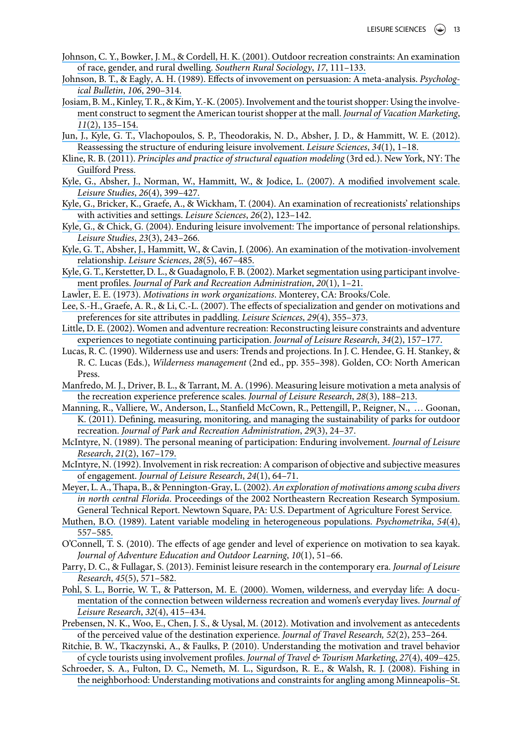- [Johnson, C. Y., Bowker, J. M., & Cordell, H. K. \(2001\). Outdoor recreation constraints: An examination](https://www.researchgate.net/publication/254415623_Outdoor_Recreation_Constraints_An_Examination_of_Race_Gender_and_Rural_Dwelling?el=1_x_8&enrichId=rgreq-358bf75993b0b78d15cbfae87c388d01-XXX&enrichSource=Y292ZXJQYWdlOzMxMzIzNDU4MTtBUzo0NTc4MDQ5MDIzNDI2NTZAMTQ4NjE2MDYwMjIxOQ==) [of race, gender, and rural dwelling.](https://www.researchgate.net/publication/254415623_Outdoor_Recreation_Constraints_An_Examination_of_Race_Gender_and_Rural_Dwelling?el=1_x_8&enrichId=rgreq-358bf75993b0b78d15cbfae87c388d01-XXX&enrichSource=Y292ZXJQYWdlOzMxMzIzNDU4MTtBUzo0NTc4MDQ5MDIzNDI2NTZAMTQ4NjE2MDYwMjIxOQ==) *Southern Rural Sociology*, *17*, 111–133.
- [Johnson, B. T., & Eagly, A. H. \(1989\). Effects of invovement on persuasion: A meta-analysis.](https://www.researchgate.net/publication/27403974_Effects_of_Involvement_on_Persuasion_A_Meta-Analysis?el=1_x_8&enrichId=rgreq-358bf75993b0b78d15cbfae87c388d01-XXX&enrichSource=Y292ZXJQYWdlOzMxMzIzNDU4MTtBUzo0NTc4MDQ5MDIzNDI2NTZAMTQ4NjE2MDYwMjIxOQ==) *Psycholog[ical Bulletin](https://www.researchgate.net/publication/27403974_Effects_of_Involvement_on_Persuasion_A_Meta-Analysis?el=1_x_8&enrichId=rgreq-358bf75993b0b78d15cbfae87c388d01-XXX&enrichSource=Y292ZXJQYWdlOzMxMzIzNDU4MTtBUzo0NTc4MDQ5MDIzNDI2NTZAMTQ4NjE2MDYwMjIxOQ==)*, *106*, 290–314.
- [Josiam, B. M., Kinley, T. R., & Kim, Y.-K. \(2005\). Involvement and the tourist shopper: Using the involve](https://www.researchgate.net/publication/274081295_Involvement_and_the_tourist_shopper_Using_the_involvement_construct_to_segment_the_American_tourist_shopper_at_the_mall?el=1_x_8&enrichId=rgreq-358bf75993b0b78d15cbfae87c388d01-XXX&enrichSource=Y292ZXJQYWdlOzMxMzIzNDU4MTtBUzo0NTc4MDQ5MDIzNDI2NTZAMTQ4NjE2MDYwMjIxOQ==)[ment construct to segment the American tourist shopper at the mall.](https://www.researchgate.net/publication/274081295_Involvement_and_the_tourist_shopper_Using_the_involvement_construct_to_segment_the_American_tourist_shopper_at_the_mall?el=1_x_8&enrichId=rgreq-358bf75993b0b78d15cbfae87c388d01-XXX&enrichSource=Y292ZXJQYWdlOzMxMzIzNDU4MTtBUzo0NTc4MDQ5MDIzNDI2NTZAMTQ4NjE2MDYwMjIxOQ==) *Journal of Vacation Marketing*, *11*[\(2\), 135–154.](https://www.researchgate.net/publication/274081295_Involvement_and_the_tourist_shopper_Using_the_involvement_construct_to_segment_the_American_tourist_shopper_at_the_mall?el=1_x_8&enrichId=rgreq-358bf75993b0b78d15cbfae87c388d01-XXX&enrichSource=Y292ZXJQYWdlOzMxMzIzNDU4MTtBUzo0NTc4MDQ5MDIzNDI2NTZAMTQ4NjE2MDYwMjIxOQ==)
- [Jun, J., Kyle, G. T., Vlachopoulos, S. P., Theodorakis, N. D., Absher, J. D., & Hammitt, W. E. \(2012\).](https://www.researchgate.net/publication/233209682_Reassessing_the_Structure_of_Enduring_Leisure_Involvement?el=1_x_8&enrichId=rgreq-358bf75993b0b78d15cbfae87c388d01-XXX&enrichSource=Y292ZXJQYWdlOzMxMzIzNDU4MTtBUzo0NTc4MDQ5MDIzNDI2NTZAMTQ4NjE2MDYwMjIxOQ==) [Reassessing the structure of enduring leisure involvement.](https://www.researchgate.net/publication/233209682_Reassessing_the_Structure_of_Enduring_Leisure_Involvement?el=1_x_8&enrichId=rgreq-358bf75993b0b78d15cbfae87c388d01-XXX&enrichSource=Y292ZXJQYWdlOzMxMzIzNDU4MTtBUzo0NTc4MDQ5MDIzNDI2NTZAMTQ4NjE2MDYwMjIxOQ==) *Leisure Sciences*, *34*(1), 1–18.
- Kline, R. B. (2011). *[Principles and practice of structural equation modeling](https://www.researchgate.net/publication/303919046_Principles_and_Practice_of_Structural_Equation_Modeling?el=1_x_8&enrichId=rgreq-358bf75993b0b78d15cbfae87c388d01-XXX&enrichSource=Y292ZXJQYWdlOzMxMzIzNDU4MTtBUzo0NTc4MDQ5MDIzNDI2NTZAMTQ4NjE2MDYwMjIxOQ==)* (3rd ed.). New York, NY: The [Guilford Press.](https://www.researchgate.net/publication/303919046_Principles_and_Practice_of_Structural_Equation_Modeling?el=1_x_8&enrichId=rgreq-358bf75993b0b78d15cbfae87c388d01-XXX&enrichSource=Y292ZXJQYWdlOzMxMzIzNDU4MTtBUzo0NTc4MDQ5MDIzNDI2NTZAMTQ4NjE2MDYwMjIxOQ==)
- [Kyle, G., Absher, J., Norman, W., Hammitt, W., & Jodice, L. \(2007\). A modified involvement scale.](https://www.researchgate.net/publication/252328826_A_Modified_Involvement_Scale?el=1_x_8&enrichId=rgreq-358bf75993b0b78d15cbfae87c388d01-XXX&enrichSource=Y292ZXJQYWdlOzMxMzIzNDU4MTtBUzo0NTc4MDQ5MDIzNDI2NTZAMTQ4NjE2MDYwMjIxOQ==) *[Leisure Studies](https://www.researchgate.net/publication/252328826_A_Modified_Involvement_Scale?el=1_x_8&enrichId=rgreq-358bf75993b0b78d15cbfae87c388d01-XXX&enrichSource=Y292ZXJQYWdlOzMxMzIzNDU4MTtBUzo0NTc4MDQ5MDIzNDI2NTZAMTQ4NjE2MDYwMjIxOQ==)*, *26*(4), 399–427.
- [Kyle, G., Bricker, K., Graefe, A., & Wickham, T. \(2004\). An examination of recreationists' relationships](https://www.researchgate.net/publication/228744655_An_Examination_of_Recreationists) [with activities and settings.](https://www.researchgate.net/publication/228744655_An_Examination_of_Recreationists) *Leisure Sciences*, *26*(2), 123–142.
- [Kyle, G., & Chick, G. \(2004\). Enduring leisure involvement: The importance of personal relationships.](https://www.researchgate.net/publication/228999991_Enduring_leisure_involvement_The_importance_of_personal_relationships?el=1_x_8&enrichId=rgreq-358bf75993b0b78d15cbfae87c388d01-XXX&enrichSource=Y292ZXJQYWdlOzMxMzIzNDU4MTtBUzo0NTc4MDQ5MDIzNDI2NTZAMTQ4NjE2MDYwMjIxOQ==) *[Leisure Studies](https://www.researchgate.net/publication/228999991_Enduring_leisure_involvement_The_importance_of_personal_relationships?el=1_x_8&enrichId=rgreq-358bf75993b0b78d15cbfae87c388d01-XXX&enrichSource=Y292ZXJQYWdlOzMxMzIzNDU4MTtBUzo0NTc4MDQ5MDIzNDI2NTZAMTQ4NjE2MDYwMjIxOQ==)*, *23*(3), 243–266.
- [Kyle, G. T., Absher, J., Hammitt, W., & Cavin, J. \(2006\). An examination of the motivation-involvement](https://www.researchgate.net/publication/228759430_An_Examination_of_the_Motivation-Involvement_Relationship?el=1_x_8&enrichId=rgreq-358bf75993b0b78d15cbfae87c388d01-XXX&enrichSource=Y292ZXJQYWdlOzMxMzIzNDU4MTtBUzo0NTc4MDQ5MDIzNDI2NTZAMTQ4NjE2MDYwMjIxOQ==) relationship. *[Leisure Sciences](https://www.researchgate.net/publication/228759430_An_Examination_of_the_Motivation-Involvement_Relationship?el=1_x_8&enrichId=rgreq-358bf75993b0b78d15cbfae87c388d01-XXX&enrichSource=Y292ZXJQYWdlOzMxMzIzNDU4MTtBUzo0NTc4MDQ5MDIzNDI2NTZAMTQ4NjE2MDYwMjIxOQ==)*, *28*(5), 467–485.
- [Kyle, G. T., Kerstetter, D. L., & Guadagnolo, F. B. \(2002\). Market segmentation using participant involve](https://www.researchgate.net/publication/228598100_Market_segmentation_using_participant_involvement_profiles?el=1_x_8&enrichId=rgreq-358bf75993b0b78d15cbfae87c388d01-XXX&enrichSource=Y292ZXJQYWdlOzMxMzIzNDU4MTtBUzo0NTc4MDQ5MDIzNDI2NTZAMTQ4NjE2MDYwMjIxOQ==)ment profiles. *[Journal of Park and Recreation Administration](https://www.researchgate.net/publication/228598100_Market_segmentation_using_participant_involvement_profiles?el=1_x_8&enrichId=rgreq-358bf75993b0b78d15cbfae87c388d01-XXX&enrichSource=Y292ZXJQYWdlOzMxMzIzNDU4MTtBUzo0NTc4MDQ5MDIzNDI2NTZAMTQ4NjE2MDYwMjIxOQ==)*, *20*(1), 1–21.
- Lawler, E. E. (1973). *[Motivations in work organizations](https://www.researchgate.net/publication/274219620_Motivation_in_Work_Organizations?el=1_x_8&enrichId=rgreq-358bf75993b0b78d15cbfae87c388d01-XXX&enrichSource=Y292ZXJQYWdlOzMxMzIzNDU4MTtBUzo0NTc4MDQ5MDIzNDI2NTZAMTQ4NjE2MDYwMjIxOQ==)*. Monterey, CA: Brooks/Cole.
- [Lee, S.-H., Graefe, A. R., & Li, C.-L. \(2007\). The effects of specialization and gender on motivations and](https://www.researchgate.net/publication/238398646_The_Effects_of_Specialization_and_Gender_on_Motivations_and_Preferences_for_Site_Attributes_in_Paddling?el=1_x_8&enrichId=rgreq-358bf75993b0b78d15cbfae87c388d01-XXX&enrichSource=Y292ZXJQYWdlOzMxMzIzNDU4MTtBUzo0NTc4MDQ5MDIzNDI2NTZAMTQ4NjE2MDYwMjIxOQ==) [preferences for site attributes in paddling.](https://www.researchgate.net/publication/238398646_The_Effects_of_Specialization_and_Gender_on_Motivations_and_Preferences_for_Site_Attributes_in_Paddling?el=1_x_8&enrichId=rgreq-358bf75993b0b78d15cbfae87c388d01-XXX&enrichSource=Y292ZXJQYWdlOzMxMzIzNDU4MTtBUzo0NTc4MDQ5MDIzNDI2NTZAMTQ4NjE2MDYwMjIxOQ==) *Leisure Sciences*, *29*(4), 355–373.
- [Little, D. E. \(2002\). Women and adventure recreation: Reconstructing leisure constraints and adventure](https://www.researchgate.net/publication/289229923_Women_and_adventure_recreation_Reconstructing_leisure_constraints_and_adventure_experiences_to_negotiate_continuing_participation?el=1_x_8&enrichId=rgreq-358bf75993b0b78d15cbfae87c388d01-XXX&enrichSource=Y292ZXJQYWdlOzMxMzIzNDU4MTtBUzo0NTc4MDQ5MDIzNDI2NTZAMTQ4NjE2MDYwMjIxOQ==) [experiences to negotiate continuing participation.](https://www.researchgate.net/publication/289229923_Women_and_adventure_recreation_Reconstructing_leisure_constraints_and_adventure_experiences_to_negotiate_continuing_participation?el=1_x_8&enrichId=rgreq-358bf75993b0b78d15cbfae87c388d01-XXX&enrichSource=Y292ZXJQYWdlOzMxMzIzNDU4MTtBUzo0NTc4MDQ5MDIzNDI2NTZAMTQ4NjE2MDYwMjIxOQ==) *Journal of Leisure Research*, *34*(2), 157–177.
- Lucas, R. C. (1990). Wilderness use and users: Trends and projections. In J. C. Hendee, G. H. Stankey, & R. C. Lucas (Eds.), *Wilderness management* (2nd ed., pp. 355–398). Golden, CO: North American Press.
- [Manfredo, M. J., Driver, B. L., & Tarrant, M. A. \(1996\). Measuring leisure motivation a meta analysis of](https://www.researchgate.net/publication/250614022_Measuring_leisure_motivation_A_meta-analysis_of_the_Recreation_Experience_Preference_scales?el=1_x_8&enrichId=rgreq-358bf75993b0b78d15cbfae87c388d01-XXX&enrichSource=Y292ZXJQYWdlOzMxMzIzNDU4MTtBUzo0NTc4MDQ5MDIzNDI2NTZAMTQ4NjE2MDYwMjIxOQ==) [the recreation experience preference scales.](https://www.researchgate.net/publication/250614022_Measuring_leisure_motivation_A_meta-analysis_of_the_Recreation_Experience_Preference_scales?el=1_x_8&enrichId=rgreq-358bf75993b0b78d15cbfae87c388d01-XXX&enrichSource=Y292ZXJQYWdlOzMxMzIzNDU4MTtBUzo0NTc4MDQ5MDIzNDI2NTZAMTQ4NjE2MDYwMjIxOQ==) *Journal of Leisure Research*, *28*(3), 188–213.
- [Manning, R., Valliere, W., Anderson, L., Stanfield McCown, R., Pettengill, P., Reigner, N., … Goonan,](https://www.researchgate.net/publication/263658464_Defining_Measuring_Monitoring_and_Managing_the_Sustainability_of_Parks_for_Outdoor_Recreation?el=1_x_8&enrichId=rgreq-358bf75993b0b78d15cbfae87c388d01-XXX&enrichSource=Y292ZXJQYWdlOzMxMzIzNDU4MTtBUzo0NTc4MDQ5MDIzNDI2NTZAMTQ4NjE2MDYwMjIxOQ==) [K. \(2011\). Defining, measuring, monitoring, and managing the sustainability of parks for outdoor](https://www.researchgate.net/publication/263658464_Defining_Measuring_Monitoring_and_Managing_the_Sustainability_of_Parks_for_Outdoor_Recreation?el=1_x_8&enrichId=rgreq-358bf75993b0b78d15cbfae87c388d01-XXX&enrichSource=Y292ZXJQYWdlOzMxMzIzNDU4MTtBUzo0NTc4MDQ5MDIzNDI2NTZAMTQ4NjE2MDYwMjIxOQ==) recreation. *[Journal of Park and Recreation Administration](https://www.researchgate.net/publication/263658464_Defining_Measuring_Monitoring_and_Managing_the_Sustainability_of_Parks_for_Outdoor_Recreation?el=1_x_8&enrichId=rgreq-358bf75993b0b78d15cbfae87c388d01-XXX&enrichSource=Y292ZXJQYWdlOzMxMzIzNDU4MTtBUzo0NTc4MDQ5MDIzNDI2NTZAMTQ4NjE2MDYwMjIxOQ==)*, *29*(3), 24–37.
- [McIntyre, N. \(1989\). The personal meaning of participation: Enduring involvement.](https://www.researchgate.net/publication/234683797_The_Personal_Meaning_of_Participation_Enduring_Involvement?el=1_x_8&enrichId=rgreq-358bf75993b0b78d15cbfae87c388d01-XXX&enrichSource=Y292ZXJQYWdlOzMxMzIzNDU4MTtBUzo0NTc4MDQ5MDIzNDI2NTZAMTQ4NjE2MDYwMjIxOQ==) *Journal of Leisure Research*, *21*[\(2\), 167–179.](https://www.researchgate.net/publication/234683797_The_Personal_Meaning_of_Participation_Enduring_Involvement?el=1_x_8&enrichId=rgreq-358bf75993b0b78d15cbfae87c388d01-XXX&enrichSource=Y292ZXJQYWdlOzMxMzIzNDU4MTtBUzo0NTc4MDQ5MDIzNDI2NTZAMTQ4NjE2MDYwMjIxOQ==)
- [McIntyre, N. \(1992\). Involvement in risk recreation: A comparison of objective and subjective measures](https://www.researchgate.net/publication/232443339_Involvement_in_risk_recreation_A_comparison_of_objective_and_subjective_measures_of_engagement?el=1_x_8&enrichId=rgreq-358bf75993b0b78d15cbfae87c388d01-XXX&enrichSource=Y292ZXJQYWdlOzMxMzIzNDU4MTtBUzo0NTc4MDQ5MDIzNDI2NTZAMTQ4NjE2MDYwMjIxOQ==) of engagement. *[Journal of Leisure Research](https://www.researchgate.net/publication/232443339_Involvement_in_risk_recreation_A_comparison_of_objective_and_subjective_measures_of_engagement?el=1_x_8&enrichId=rgreq-358bf75993b0b78d15cbfae87c388d01-XXX&enrichSource=Y292ZXJQYWdlOzMxMzIzNDU4MTtBUzo0NTc4MDQ5MDIzNDI2NTZAMTQ4NjE2MDYwMjIxOQ==)*, *24*(1), 64–71.
- [Meyer, L. A., Thapa, B., & Pennington-Gray, L. \(2002\).](https://www.researchgate.net/publication/265181617_AN_EXPLORATION_OF_MOTIVATIONS_AMONG_SCUBA_DIVERS_IN_NORTH_CENTRAL_FLORIDA?el=1_x_8&enrichId=rgreq-358bf75993b0b78d15cbfae87c388d01-XXX&enrichSource=Y292ZXJQYWdlOzMxMzIzNDU4MTtBUzo0NTc4MDQ5MDIzNDI2NTZAMTQ4NjE2MDYwMjIxOQ==) *An exploration of motivations among scuba divers in north central Florida*[. Proceedings of the 2002 Northeastern Recreation Research Symposium.](https://www.researchgate.net/publication/265181617_AN_EXPLORATION_OF_MOTIVATIONS_AMONG_SCUBA_DIVERS_IN_NORTH_CENTRAL_FLORIDA?el=1_x_8&enrichId=rgreq-358bf75993b0b78d15cbfae87c388d01-XXX&enrichSource=Y292ZXJQYWdlOzMxMzIzNDU4MTtBUzo0NTc4MDQ5MDIzNDI2NTZAMTQ4NjE2MDYwMjIxOQ==) [General Technical Report. Newtown Square, PA: U.S. Department of Agriculture Forest Service.](https://www.researchgate.net/publication/265181617_AN_EXPLORATION_OF_MOTIVATIONS_AMONG_SCUBA_DIVERS_IN_NORTH_CENTRAL_FLORIDA?el=1_x_8&enrichId=rgreq-358bf75993b0b78d15cbfae87c388d01-XXX&enrichSource=Y292ZXJQYWdlOzMxMzIzNDU4MTtBUzo0NTc4MDQ5MDIzNDI2NTZAMTQ4NjE2MDYwMjIxOQ==)
- [Muthen, B.O. \(1989\). Latent variable modeling in heterogeneous populations.](https://www.researchgate.net/publication/24062881_Latent_Variable_Modeling_in_Heterogeneous_Populations?el=1_x_8&enrichId=rgreq-358bf75993b0b78d15cbfae87c388d01-XXX&enrichSource=Y292ZXJQYWdlOzMxMzIzNDU4MTtBUzo0NTc4MDQ5MDIzNDI2NTZAMTQ4NjE2MDYwMjIxOQ==) *Psychometrika*, *54*(4), [557–585.](https://www.researchgate.net/publication/24062881_Latent_Variable_Modeling_in_Heterogeneous_Populations?el=1_x_8&enrichId=rgreq-358bf75993b0b78d15cbfae87c388d01-XXX&enrichSource=Y292ZXJQYWdlOzMxMzIzNDU4MTtBUzo0NTc4MDQ5MDIzNDI2NTZAMTQ4NjE2MDYwMjIxOQ==)
- O'Connell, T. S. (2010). The effects of age gender and level of experience on motivation to sea kayak. *Journal of Adventure Education and Outdoor Learning*, *10*(1), 51–66.
- [Parry, D. C., & Fullagar, S. \(2013\). Feminist leisure research in the contemporary era.](https://www.researchgate.net/publication/257947548_Feminist_Leisure_Research_in_the_Contemporary_Era_Introduction_to_the_Special_Issue?el=1_x_8&enrichId=rgreq-358bf75993b0b78d15cbfae87c388d01-XXX&enrichSource=Y292ZXJQYWdlOzMxMzIzNDU4MTtBUzo0NTc4MDQ5MDIzNDI2NTZAMTQ4NjE2MDYwMjIxOQ==) *Journal of Leisure Research*, *45*[\(5\), 571–582.](https://www.researchgate.net/publication/257947548_Feminist_Leisure_Research_in_the_Contemporary_Era_Introduction_to_the_Special_Issue?el=1_x_8&enrichId=rgreq-358bf75993b0b78d15cbfae87c388d01-XXX&enrichSource=Y292ZXJQYWdlOzMxMzIzNDU4MTtBUzo0NTc4MDQ5MDIzNDI2NTZAMTQ4NjE2MDYwMjIxOQ==)
- [Pohl, S. L., Borrie, W. T., & Patterson, M. E. \(2000\). Women, wilderness, and everyday life: A docu](https://www.researchgate.net/publication/299484655_Women_Wilderness_and_Everyday_Life_A_Documentation_of_the_Connection_between_Wilderness_Recreation_and_Women)[mentation of the connection between wilderness recreation and women's everyday lives.](https://www.researchgate.net/publication/299484655_Women_Wilderness_and_Everyday_Life_A_Documentation_of_the_Connection_between_Wilderness_Recreation_and_Women) *Journal of [Leisure Research](https://www.researchgate.net/publication/299484655_Women_Wilderness_and_Everyday_Life_A_Documentation_of_the_Connection_between_Wilderness_Recreation_and_Women)*, *32*(4), 415–434.
- [Prebensen, N. K., Woo, E., Chen, J. S., & Uysal, M. \(2012\). Motivation and involvement as antecedents](https://www.researchgate.net/publication/258161154_Motivation_and_Involvement_as_Antecedents_of_the_Perceived_Value_of_the_Destination_Experience?el=1_x_8&enrichId=rgreq-358bf75993b0b78d15cbfae87c388d01-XXX&enrichSource=Y292ZXJQYWdlOzMxMzIzNDU4MTtBUzo0NTc4MDQ5MDIzNDI2NTZAMTQ4NjE2MDYwMjIxOQ==) [of the perceived value of the destination experience.](https://www.researchgate.net/publication/258161154_Motivation_and_Involvement_as_Antecedents_of_the_Perceived_Value_of_the_Destination_Experience?el=1_x_8&enrichId=rgreq-358bf75993b0b78d15cbfae87c388d01-XXX&enrichSource=Y292ZXJQYWdlOzMxMzIzNDU4MTtBUzo0NTc4MDQ5MDIzNDI2NTZAMTQ4NjE2MDYwMjIxOQ==) *Journal of Travel Research, 52*(2), 253–264.
- [Ritchie, B. W., Tkaczynski, A., & Faulks, P. \(2010\). Understanding the motivation and travel behavior](https://www.researchgate.net/publication/50805900_Understanding_the_Motivation_and_Travel_Behavior_of_Cycle_Tourists_Using_Involvement_Profiles?el=1_x_8&enrichId=rgreq-358bf75993b0b78d15cbfae87c388d01-XXX&enrichSource=Y292ZXJQYWdlOzMxMzIzNDU4MTtBUzo0NTc4MDQ5MDIzNDI2NTZAMTQ4NjE2MDYwMjIxOQ==) [of cycle tourists using involvement profiles.](https://www.researchgate.net/publication/50805900_Understanding_the_Motivation_and_Travel_Behavior_of_Cycle_Tourists_Using_Involvement_Profiles?el=1_x_8&enrichId=rgreq-358bf75993b0b78d15cbfae87c388d01-XXX&enrichSource=Y292ZXJQYWdlOzMxMzIzNDU4MTtBUzo0NTc4MDQ5MDIzNDI2NTZAMTQ4NjE2MDYwMjIxOQ==) *Journal of Travel & Tourism Marketing*, *27*(4), 409–425.
- [Schroeder, S. A., Fulton, D. C., Nemeth, M. L., Sigurdson, R. E., & Walsh, R. J. \(2008\). Fishing in](https://www.researchgate.net/publication/258367478_Fishing_in_the_neighborhood_Understanding_motivations_and_constraints_to_angling_among_Twin_Cities_metro_residents?el=1_x_8&enrichId=rgreq-358bf75993b0b78d15cbfae87c388d01-XXX&enrichSource=Y292ZXJQYWdlOzMxMzIzNDU4MTtBUzo0NTc4MDQ5MDIzNDI2NTZAMTQ4NjE2MDYwMjIxOQ==) [the neighborhood: Understanding motivations and](https://www.researchgate.net/publication/258367478_Fishing_in_the_neighborhood_Understanding_motivations_and_constraints_to_angling_among_Twin_Cities_metro_residents?el=1_x_8&enrichId=rgreq-358bf75993b0b78d15cbfae87c388d01-XXX&enrichSource=Y292ZXJQYWdlOzMxMzIzNDU4MTtBUzo0NTc4MDQ5MDIzNDI2NTZAMTQ4NjE2MDYwMjIxOQ==) constraints for angling among Minneapolis–St.